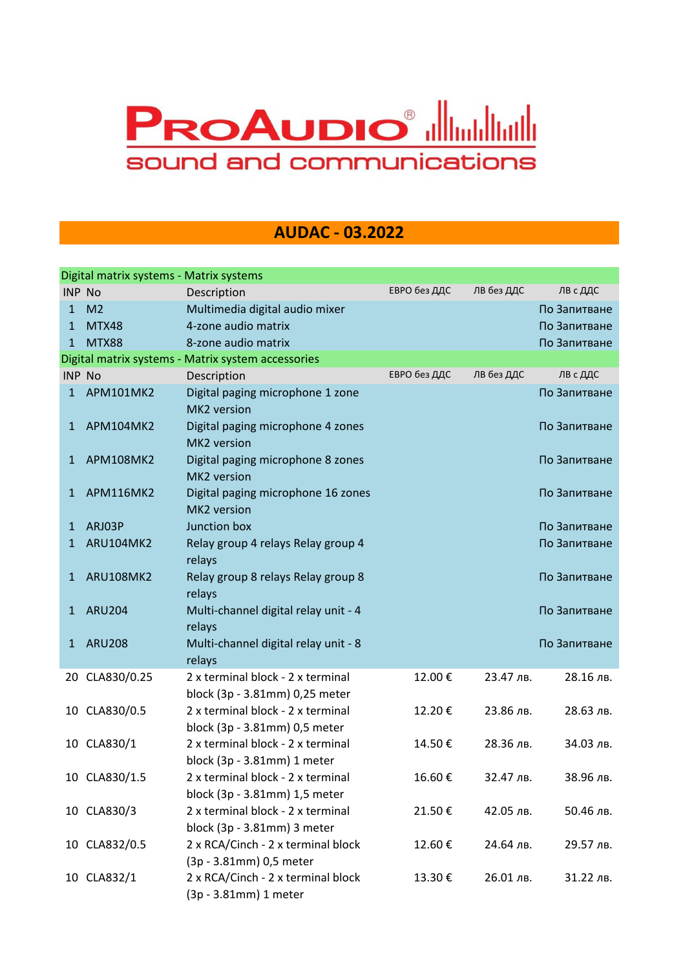## **PROAUDIO<sup>®</sup> allianding the PROAUDIO** sound and communications

## **AUDAC - 03.2022**

|               | Digital matrix systems - Matrix systems |                                                    |              |            |              |
|---------------|-----------------------------------------|----------------------------------------------------|--------------|------------|--------------|
| <b>INP No</b> |                                         | Description                                        | ЕВРО без ДДС | ЛВ без ДДС | ЛВ с ДДС     |
| 1             | M <sub>2</sub>                          | Multimedia digital audio mixer                     |              |            | По Запитване |
| 1             | MTX48                                   | 4-zone audio matrix                                |              |            | По Запитване |
| 1             | <b>MTX88</b>                            | 8-zone audio matrix                                |              |            | По Запитване |
|               |                                         | Digital matrix systems - Matrix system accessories |              |            |              |
| INP No        |                                         | Description                                        | ЕВРО без ДДС | ЛВ без ДДС | ЛВ с ДДС     |
| 1             | APM101MK2                               | Digital paging microphone 1 zone                   |              |            | По Запитване |
|               |                                         | MK2 version                                        |              |            |              |
| $\mathbf{1}$  | APM104MK2                               | Digital paging microphone 4 zones<br>MK2 version   |              |            | По Запитване |
| 1             | APM108MK2                               | Digital paging microphone 8 zones                  |              |            | По Запитване |
|               |                                         | MK2 version                                        |              |            |              |
| 1             | APM116MK2                               | Digital paging microphone 16 zones<br>MK2 version  |              |            | По Запитване |
|               | ARJ03P                                  | Junction box                                       |              |            | По Запитване |
| 1<br>1        | ARU104MK2                               | Relay group 4 relays Relay group 4                 |              |            | По Запитване |
|               |                                         | relays                                             |              |            |              |
| 1             | <b>ARU108MK2</b>                        | Relay group 8 relays Relay group 8                 |              |            | По Запитване |
|               |                                         | relays                                             |              |            |              |
| 1             | <b>ARU204</b>                           | Multi-channel digital relay unit - 4               |              |            | По Запитване |
|               |                                         | relays                                             |              |            |              |
| $\mathbf{1}$  | <b>ARU208</b>                           | Multi-channel digital relay unit - 8               |              |            | По Запитване |
|               |                                         | relays                                             |              |            |              |
|               | 20 CLA830/0.25                          | 2 x terminal block - 2 x terminal                  | 12.00€       | 23.47 лв.  | 28.16 лв.    |
|               |                                         | block (3p - 3.81mm) 0,25 meter                     |              |            |              |
| 10            | CLA830/0.5                              | 2 x terminal block - 2 x terminal                  | 12.20€       | 23.86 лв.  | 28.63 лв.    |
|               |                                         | block (3p - 3.81mm) 0,5 meter                      |              |            |              |
|               | 10 CLA830/1                             | 2 x terminal block - 2 x terminal                  | 14.50€       | 28.36 лв.  | 34.03 лв.    |
|               |                                         | block (3p - 3.81mm) 1 meter                        |              |            |              |
|               | 10 CLA830/1.5                           | 2 x terminal block - 2 x terminal                  | 16.60€       | 32.47 лв.  | 38.96 лв.    |
|               |                                         | block (3p - 3.81mm) 1,5 meter                      |              |            |              |
|               | 10 CLA830/3                             | 2 x terminal block - 2 x terminal                  | 21.50€       | 42.05 лв.  | 50.46 лв.    |
|               |                                         | block (3p - 3.81mm) 3 meter                        |              |            |              |
|               | 10 CLA832/0.5                           | 2 x RCA/Cinch - 2 x terminal block                 | 12.60€       | 24.64 лв.  | 29.57 лв.    |
|               |                                         | (3p - 3.81mm) 0,5 meter                            |              |            |              |
|               | 10 CLA832/1                             | 2 x RCA/Cinch - 2 x terminal block                 | 13.30€       | 26.01 лв.  | 31.22 лв.    |
|               |                                         | (3p - 3.81mm) 1 meter                              |              |            |              |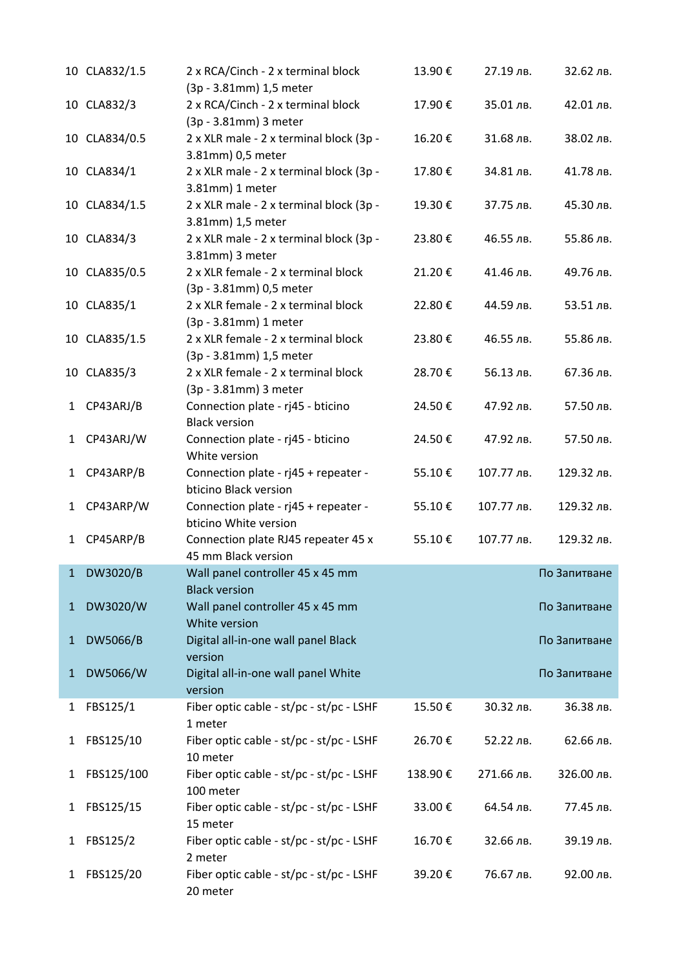|              | 10 CLA832/1.5 | 2 x RCA/Cinch - 2 x terminal block<br>(3p - 3.81mm) 1,5 meter  | 13.90€  | 27.19 лв.  | 32.62 лв.    |
|--------------|---------------|----------------------------------------------------------------|---------|------------|--------------|
|              | 10 CLA832/3   | 2 x RCA/Cinch - 2 x terminal block<br>(3p - 3.81mm) 3 meter    | 17.90€  | 35.01 лв.  | 42.01 лв.    |
|              | 10 CLA834/0.5 | 2 x XLR male - 2 x terminal block (3p -<br>3.81mm) 0,5 meter   | 16.20€  | 31.68 лв.  | 38.02 лв.    |
|              | 10 CLA834/1   | 2 x XLR male - 2 x terminal block (3p -<br>3.81mm) 1 meter     | 17.80€  | 34.81 лв.  | 41.78 лв.    |
|              | 10 CLA834/1.5 | 2 x XLR male - 2 x terminal block (3p -<br>3.81mm) 1,5 meter   | 19.30€  | 37.75 лв.  | 45.30 лв.    |
|              | 10 CLA834/3   | 2 x XLR male - 2 x terminal block (3p -<br>3.81mm) 3 meter     | 23.80€  | 46.55 лв.  | 55.86 лв.    |
|              | 10 CLA835/0.5 | 2 x XLR female - 2 x terminal block<br>(3p - 3.81mm) 0,5 meter | 21.20€  | 41.46 лв.  | 49.76 лв.    |
|              | 10 CLA835/1   | 2 x XLR female - 2 x terminal block<br>(3p - 3.81mm) 1 meter   | 22.80€  | 44.59 лв.  | 53.51 лв.    |
|              | 10 CLA835/1.5 | 2 x XLR female - 2 x terminal block<br>(3p - 3.81mm) 1,5 meter | 23.80€  | 46.55 лв.  | 55.86 лв.    |
|              | 10 CLA835/3   | 2 x XLR female - 2 x terminal block<br>(3p - 3.81mm) 3 meter   | 28.70€  | 56.13 лв.  | 67.36 лв.    |
| 1            | CP43ARJ/B     | Connection plate - rj45 - bticino<br><b>Black version</b>      | 24.50€  | 47.92 лв.  | 57.50 лв.    |
| $\mathbf{1}$ | CP43ARJ/W     | Connection plate - rj45 - bticino<br>White version             | 24.50€  | 47.92 лв.  | 57.50 лв.    |
| $\mathbf{1}$ | CP43ARP/B     | Connection plate - rj45 + repeater -<br>bticino Black version  | 55.10€  | 107.77 лв. | 129.32 лв.   |
| $\mathbf{1}$ | CP43ARP/W     | Connection plate - rj45 + repeater -<br>bticino White version  | 55.10€  | 107.77 лв. | 129.32 лв.   |
| 1            | CP45ARP/B     | Connection plate RJ45 repeater 45 x<br>45 mm Black version     | 55.10€  | 107.77 лв. | 129.32 лв.   |
| $\mathbf{1}$ | DW3020/B      | Wall panel controller 45 x 45 mm<br><b>Black version</b>       |         |            | По Запитване |
| $\mathbf{1}$ | DW3020/W      | Wall panel controller 45 x 45 mm<br>White version              |         |            | По Запитване |
| $\mathbf{1}$ | DW5066/B      | Digital all-in-one wall panel Black<br>version                 |         |            | По Запитване |
| $\mathbf{1}$ | DW5066/W      | Digital all-in-one wall panel White<br>version                 |         |            | По Запитване |
| 1            | FBS125/1      | Fiber optic cable - st/pc - st/pc - LSHF<br>1 meter            | 15.50€  | 30.32 лв.  | 36.38 лв.    |
| 1            | FBS125/10     | Fiber optic cable - st/pc - st/pc - LSHF<br>10 meter           | 26.70€  | 52.22 лв.  | 62.66 лв.    |
| $\mathbf{1}$ | FBS125/100    | Fiber optic cable - st/pc - st/pc - LSHF<br>100 meter          | 138.90€ | 271.66 лв. | 326.00 лв.   |
| 1            | FBS125/15     | Fiber optic cable - st/pc - st/pc - LSHF<br>15 meter           | 33.00€  | 64.54 лв.  | 77.45 лв.    |
| 1            | FBS125/2      | Fiber optic cable - st/pc - st/pc - LSHF<br>2 meter            | 16.70€  | 32.66 лв.  | 39.19 лв.    |
| 1            | FBS125/20     | Fiber optic cable - st/pc - st/pc - LSHF<br>20 meter           | 39.20€  | 76.67 лв.  | 92.00 лв.    |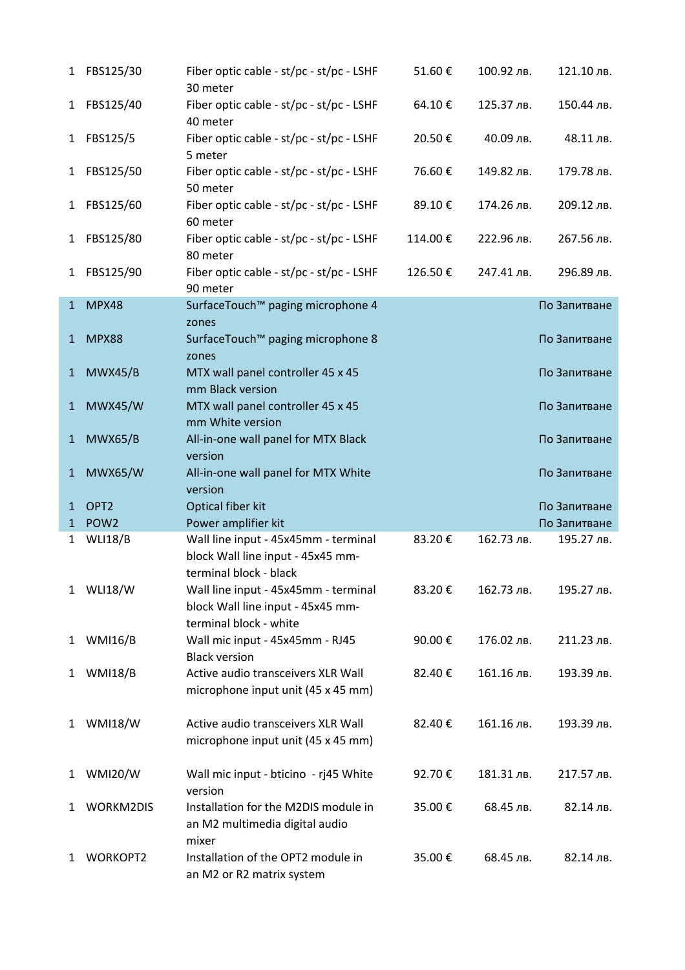| 1            | FBS125/30        | Fiber optic cable - st/pc - st/pc - LSHF                                                            | 51.60€  | 100.92 лв. | 121.10 лв.   |
|--------------|------------------|-----------------------------------------------------------------------------------------------------|---------|------------|--------------|
|              |                  | 30 meter                                                                                            |         |            |              |
| $\mathbf{1}$ | FBS125/40        | Fiber optic cable - st/pc - st/pc - LSHF<br>40 meter                                                | 64.10€  | 125.37 лв. | 150.44 лв.   |
| $\mathbf{1}$ | FBS125/5         | Fiber optic cable - st/pc - st/pc - LSHF<br>5 meter                                                 | 20.50€  | 40.09 лв.  | 48.11 лв.    |
| 1            | FBS125/50        | Fiber optic cable - st/pc - st/pc - LSHF<br>50 meter                                                | 76.60€  | 149.82 лв. | 179.78 лв.   |
| 1            | FBS125/60        | Fiber optic cable - st/pc - st/pc - LSHF<br>60 meter                                                | 89.10€  | 174.26 лв. | 209.12 лв.   |
| 1            | FBS125/80        | Fiber optic cable - st/pc - st/pc - LSHF<br>80 meter                                                | 114.00€ | 222.96 лв. | 267.56 лв.   |
| 1            | FBS125/90        | Fiber optic cable - st/pc - st/pc - LSHF<br>90 meter                                                | 126.50€ | 247.41 лв. | 296.89 лв.   |
| $\mathbf{1}$ | MPX48            | SurfaceTouch™ paging microphone 4                                                                   |         |            | По Запитване |
|              |                  | zones                                                                                               |         |            |              |
| $\mathbf{1}$ | <b>MPX88</b>     | SurfaceTouch <sup>™</sup> paging microphone 8<br>zones                                              |         |            | По Запитване |
| $\mathbf{1}$ | MWX45/B          | MTX wall panel controller 45 x 45<br>mm Black version                                               |         |            | По Запитване |
| $\mathbf{1}$ | <b>MWX45/W</b>   | MTX wall panel controller 45 x 45<br>mm White version                                               |         |            | По Запитване |
| $\mathbf{1}$ | <b>MWX65/B</b>   | All-in-one wall panel for MTX Black<br>version                                                      |         |            | По Запитване |
| $\mathbf{1}$ | <b>MWX65/W</b>   | All-in-one wall panel for MTX White<br>version                                                      |         |            | По Запитване |
| $\mathbf{1}$ | OPT <sub>2</sub> | Optical fiber kit                                                                                   |         |            | По Запитване |
| 1            | POW <sub>2</sub> | Power amplifier kit                                                                                 |         |            | По Запитване |
| 1            | <b>WLI18/B</b>   | Wall line input - 45x45mm - terminal<br>block Wall line input - 45x45 mm-<br>terminal block - black | 83.20€  | 162.73 лв. | 195.27 лв.   |
| $\mathbf{1}$ | <b>WLI18/W</b>   | Wall line input - 45x45mm - terminal<br>block Wall line input - 45x45 mm-<br>terminal block - white | 83.20€  | 162.73 лв. | 195.27 лв.   |
| $\mathbf{1}$ | <b>WMI16/B</b>   | Wall mic input - 45x45mm - RJ45<br><b>Black version</b>                                             | 90.00€  | 176.02 лв. | 211.23 лв.   |
| 1            | <b>WMI18/B</b>   | Active audio transceivers XLR Wall<br>microphone input unit (45 x 45 mm)                            | 82.40€  | 161.16 лв. | 193.39 лв.   |
| $\mathbf{1}$ | <b>WMI18/W</b>   | Active audio transceivers XLR Wall<br>microphone input unit (45 x 45 mm)                            | 82.40€  | 161.16 лв. | 193.39 лв.   |
| $\mathbf{1}$ | <b>WMI20/W</b>   | Wall mic input - bticino - rj45 White<br>version                                                    | 92.70€  | 181.31 лв. | 217.57 лв.   |
| 1            | <b>WORKM2DIS</b> | Installation for the M2DIS module in<br>an M2 multimedia digital audio<br>mixer                     | 35.00€  | 68.45 лв.  | 82.14 лв.    |
| 1            | <b>WORKOPT2</b>  | Installation of the OPT2 module in<br>an M2 or R2 matrix system                                     | 35.00€  | 68.45 лв.  | 82.14 лв.    |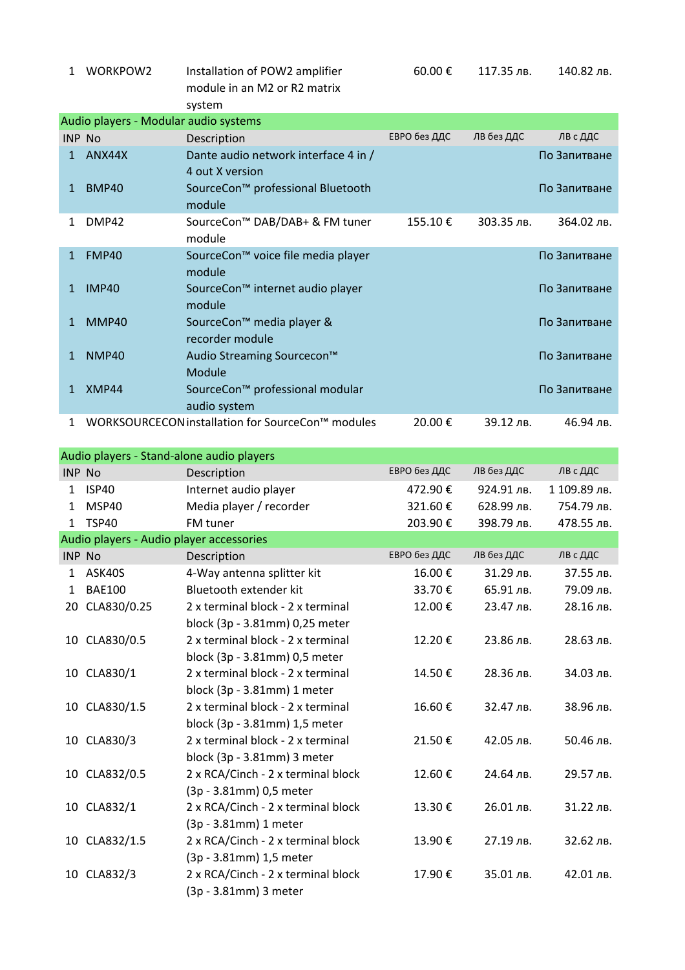| 1             | WORKPOW2                              | Installation of POW2 amplifier<br>module in an M2 or R2 matrix<br>system | 60.00€       | 117.35 лв. | 140.82 лв.   |
|---------------|---------------------------------------|--------------------------------------------------------------------------|--------------|------------|--------------|
|               | Audio players - Modular audio systems |                                                                          |              |            |              |
| <b>INP No</b> |                                       | Description                                                              | ЕВРО без ДДС | ЛВ без ДДС | ЛВ с ДДС     |
| 1.            | ANX44X                                | Dante audio network interface 4 in /<br>4 out X version                  |              |            | По Запитване |
| 1             | <b>BMP40</b>                          | SourceCon™ professional Bluetooth<br>module                              |              |            | По Запитване |
| 1             | DMP42                                 | SourceCon™ DAB/DAB+ & FM tuner<br>module                                 | 155.10€      | 303.35 лв. | 364.02 лв.   |
| $\mathbf{1}$  | <b>FMP40</b>                          | SourceCon™ voice file media player<br>module                             |              |            | По Запитване |
| $\mathbf{1}$  | <b>IMP40</b>                          | SourceCon <sup>™</sup> internet audio player<br>module                   |              |            | По Запитване |
| 1             | MMP40                                 | SourceCon™ media player &<br>recorder module                             |              |            | По Запитване |
| $\mathbf{1}$  | <b>NMP40</b>                          | Audio Streaming Sourcecon™<br>Module                                     |              |            | По Запитване |
| 1             | XMP44                                 | SourceCon™ professional modular<br>audio system                          |              |            | По Запитване |
| 1             |                                       | WORKSOURCECON installation for SourceCon™ modules                        | 20.00€       | 39.12 лв.  | 46.94 лв.    |

|              | Audio players - Stand-alone audio players |                                    |              |            |              |  |  |  |
|--------------|-------------------------------------------|------------------------------------|--------------|------------|--------------|--|--|--|
|              | <b>INP No</b>                             | Description                        | ЕВРО без ДДС | ЛВ без ДДС | ЛВ с ДДС     |  |  |  |
| 1            | ISP40                                     | Internet audio player              | 472.90€      | 924.91 лв. | 1 109.89 лв. |  |  |  |
| 1            | MSP40                                     | Media player / recorder            | 321.60€      | 628.99 лв. | 754.79 лв.   |  |  |  |
| $\mathbf{1}$ | <b>TSP40</b>                              | FM tuner                           | 203.90€      | 398.79 лв. | 478.55 лв.   |  |  |  |
|              | Audio players - Audio player accessories  |                                    |              |            |              |  |  |  |
|              | INP No                                    | Description                        | ЕВРО без ДДС | ЛВ без ДДС | ЛВ с ДДС     |  |  |  |
| 1            | ASK40S                                    | 4-Way antenna splitter kit         | 16.00€       | 31.29 лв.  | 37.55 лв.    |  |  |  |
| $\mathbf{1}$ | <b>BAE100</b>                             | Bluetooth extender kit             | 33.70€       | 65.91 лв.  | 79.09 лв.    |  |  |  |
| 20           | CLA830/0.25                               | 2 x terminal block - 2 x terminal  | 12.00€       | 23.47 лв.  | 28.16 лв.    |  |  |  |
|              |                                           | block (3p - 3.81mm) 0,25 meter     |              |            |              |  |  |  |
|              | 10 CLA830/0.5                             | 2 x terminal block - 2 x terminal  | 12.20€       | 23.86 лв.  | 28.63 лв.    |  |  |  |
|              |                                           | block (3p - 3.81mm) 0,5 meter      |              |            |              |  |  |  |
|              | 10 CLA830/1                               | 2 x terminal block - 2 x terminal  | 14.50€       | 28.36 лв.  | 34.03 лв.    |  |  |  |
|              |                                           | block (3p - 3.81mm) 1 meter        |              |            |              |  |  |  |
|              | 10 CLA830/1.5                             | 2 x terminal block - 2 x terminal  | 16.60€       | 32.47 лв.  | 38.96 лв.    |  |  |  |
|              |                                           | block (3p - 3.81mm) 1,5 meter      |              |            |              |  |  |  |
|              | 10 CLA830/3                               | 2 x terminal block - 2 x terminal  | 21.50€       | 42.05 лв.  | 50.46 лв.    |  |  |  |
|              |                                           | block (3p - 3.81mm) 3 meter        |              |            |              |  |  |  |
| 10           | CLA832/0.5                                | 2 x RCA/Cinch - 2 x terminal block | 12.60€       | 24.64 лв.  | 29.57 лв.    |  |  |  |
|              |                                           | (3p - 3.81mm) 0,5 meter            |              |            |              |  |  |  |
|              | 10 CLA832/1                               | 2 x RCA/Cinch - 2 x terminal block | 13.30€       | 26.01 лв.  | 31.22 лв.    |  |  |  |
|              |                                           | (3p - 3.81mm) 1 meter              |              |            |              |  |  |  |
|              | 10 CLA832/1.5                             | 2 x RCA/Cinch - 2 x terminal block | 13.90€       | 27.19 лв.  | 32.62 лв.    |  |  |  |
|              |                                           | (3p - 3.81mm) 1,5 meter            |              |            |              |  |  |  |
|              | 10 CLA832/3                               | 2 x RCA/Cinch - 2 x terminal block | 17.90€       | 35.01 лв.  | 42.01 лв.    |  |  |  |
|              |                                           | (3p - 3.81mm) 3 meter              |              |            |              |  |  |  |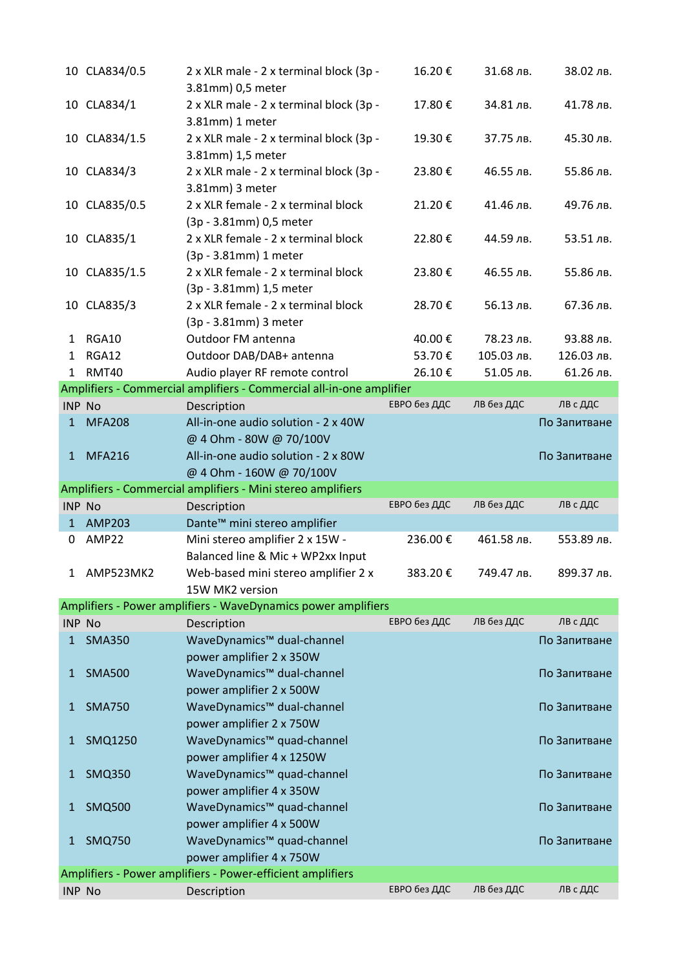|               | 10 CLA834/0.5 | 2 x XLR male - 2 x terminal block (3p -<br>3.81mm) 0,5 meter         | 16.20€       | 31.68 лв.  | 38.02 лв.    |
|---------------|---------------|----------------------------------------------------------------------|--------------|------------|--------------|
|               | 10 CLA834/1   | 2 x XLR male - 2 x terminal block (3p -<br>3.81mm) 1 meter           | 17.80€       | 34.81 лв.  | 41.78 лв.    |
| 10            | CLA834/1.5    | 2 x XLR male - 2 x terminal block (3p -<br>3.81mm) 1,5 meter         | 19.30€       | 37.75 лв.  | 45.30 лв.    |
|               | 10 CLA834/3   | 2 x XLR male - 2 x terminal block (3p -<br>3.81mm) 3 meter           | 23.80€       | 46.55 лв.  | 55.86 лв.    |
|               | 10 CLA835/0.5 | 2 x XLR female - 2 x terminal block<br>(3p - 3.81mm) 0,5 meter       | 21.20€       | 41.46 лв.  | 49.76 лв.    |
|               | 10 CLA835/1   | 2 x XLR female - 2 x terminal block<br>(3p - 3.81mm) 1 meter         | 22.80€       | 44.59 лв.  | 53.51 лв.    |
|               | 10 CLA835/1.5 | 2 x XLR female - 2 x terminal block<br>(3p - 3.81mm) 1,5 meter       | 23.80€       | 46.55 лв.  | 55.86 лв.    |
|               | 10 CLA835/3   | 2 x XLR female - 2 x terminal block<br>(3p - 3.81mm) 3 meter         | 28.70€       | 56.13 лв.  | 67.36 лв.    |
| 1             | RGA10         | Outdoor FM antenna                                                   | 40.00€       | 78.23 лв.  | 93.88 лв.    |
| 1             | RGA12         | Outdoor DAB/DAB+ antenna                                             | 53.70€       | 105.03 лв. | 126.03 лв.   |
| $\mathbf{1}$  | RMT40         | Audio player RF remote control                                       | 26.10€       | 51.05 лв.  | 61.26 лв.    |
|               |               | Amplifiers - Commercial amplifiers - Commercial all-in-one amplifier |              |            |              |
| <b>INP No</b> |               | Description                                                          | ЕВРО без ДДС | ЛВ без ДДС | ЛВ с ДДС     |
| 1             | <b>MFA208</b> | All-in-one audio solution - 2 x 40W<br>@ 4 Ohm - 80W @ 70/100V       |              |            | По Запитване |
| $\mathbf{1}$  | <b>MFA216</b> | All-in-one audio solution - 2 x 80W<br>@ 4 Ohm - 160W @ 70/100V      |              |            | По Запитване |
|               |               | Amplifiers - Commercial amplifiers - Mini stereo amplifiers          |              |            |              |
| INP No        |               | Description                                                          | ЕВРО без ДДС | ЛВ без ДДС | ЛВ с ДДС     |
|               | 1 AMP203      | Dante <sup>™</sup> mini stereo amplifier                             |              |            |              |
| 0             | AMP22         | Mini stereo amplifier 2 x 15W -<br>Balanced line & Mic + WP2xx Input | 236.00€      | 461.58 лв. | 553.89 лв.   |
| 1             | AMP523MK2     | Web-based mini stereo amplifier 2 x<br>15W MK2 version               | 383.20€      | 749.47 лв. | 899.37 лв.   |
|               |               | Amplifiers - Power amplifiers - WaveDynamics power amplifiers        |              |            |              |
|               | INP No        | Description                                                          | ЕВРО без ДДС | ЛВ без ДДС | ЛВ с ДДС     |
| 1             | <b>SMA350</b> | WaveDynamics™ dual-channel<br>power amplifier 2 x 350W               |              |            | По Запитване |
| 1             | <b>SMA500</b> | WaveDynamics™ dual-channel<br>power amplifier 2 x 500W               |              |            | По Запитване |
| 1             | <b>SMA750</b> | WaveDynamics™ dual-channel<br>power amplifier 2 x 750W               |              |            | По Запитване |
| 1             | SMQ1250       | WaveDynamics™ quad-channel<br>power amplifier 4 x 1250W              |              |            | По Запитване |
| 1             | <b>SMQ350</b> | WaveDynamics™ quad-channel<br>power amplifier 4 x 350W               |              |            | По Запитване |
| 1             | <b>SMQ500</b> | WaveDynamics™ quad-channel<br>power amplifier 4 x 500W               |              |            | По Запитване |
| 1             | <b>SMQ750</b> | WaveDynamics™ quad-channel<br>power amplifier 4 x 750W               |              |            | По Запитване |
|               |               |                                                                      |              |            |              |
|               |               | Amplifiers - Power amplifiers - Power-efficient amplifiers           |              |            |              |
|               | <b>INP No</b> | Description                                                          | ЕВРО без ДДС | ЛВ без ДДС | ЛВ с ДДС     |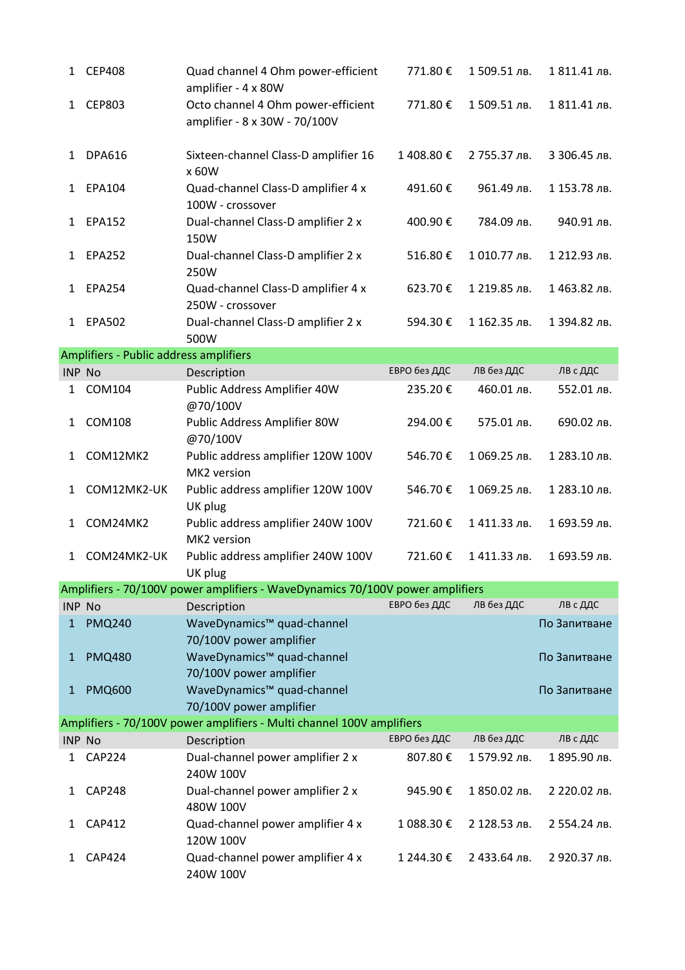| 1            | <b>CEP408</b>                          | Quad channel 4 Ohm power-efficient<br>amplifier - 4 x 80W                     | 771.80€      | 1509.51 лв.  | 1811.41 лв.  |
|--------------|----------------------------------------|-------------------------------------------------------------------------------|--------------|--------------|--------------|
| 1            | <b>CEP803</b>                          | Octo channel 4 Ohm power-efficient<br>amplifier - 8 x 30W - 70/100V           | 771.80€      | 1509.51 лв.  | 1811.41 лв.  |
| 1            | <b>DPA616</b>                          | Sixteen-channel Class-D amplifier 16<br>x 60W                                 | 1408.80€     | 2 755.37 лв. | 3 306.45 лв. |
| 1            | EPA104                                 | Quad-channel Class-D amplifier 4 x<br>100W - crossover                        | 491.60€      | 961.49 лв.   | 1 153.78 лв. |
| 1            | <b>EPA152</b>                          | Dual-channel Class-D amplifier 2 x<br>150W                                    | 400.90€      | 784.09 лв.   | 940.91 лв.   |
| 1            | <b>EPA252</b>                          | Dual-channel Class-D amplifier 2 x<br>250W                                    | 516.80€      | 1010.77 лв.  | 1 212.93 лв. |
| 1            | <b>EPA254</b>                          | Quad-channel Class-D amplifier 4 x<br>250W - crossover                        | 623.70€      | 1 219.85 лв. | 1463.82 лв.  |
| 1            | <b>EPA502</b>                          | Dual-channel Class-D amplifier 2 x<br>500W                                    | 594.30€      | 1 162.35 лв. | 1 394.82 лв. |
|              | Amplifiers - Public address amplifiers |                                                                               |              |              |              |
|              | <b>INP No</b>                          | Description                                                                   | ЕВРО без ДДС | ЛВ без ДДС   | ЛВ с ДДС     |
| 1            | COM104                                 | Public Address Amplifier 40W<br>@70/100V                                      | 235.20€      | 460.01 лв.   | 552.01 лв.   |
| 1            | <b>COM108</b>                          | Public Address Amplifier 80W<br>@70/100V                                      | 294.00€      | 575.01 лв.   | 690.02 лв.   |
| 1            | COM12MK2                               | Public address amplifier 120W 100V<br>MK2 version                             | 546.70€      | 1 069.25 лв. | 1 283.10 лв. |
| 1            | COM12MK2-UK                            | Public address amplifier 120W 100V<br>UK plug                                 | 546.70€      | 1 069.25 лв. | 1 283.10 лв. |
| 1            | COM24MK2                               | Public address amplifier 240W 100V<br>MK2 version                             | 721.60€      | 1411.33 лв.  | 1 693.59 лв. |
| 1            | COM24MK2-UK                            | Public address amplifier 240W 100V<br>UK plug                                 | 721.60€      | 1411.33 лв.  | 1 693.59 лв. |
|              |                                        | Amplifiers - 70/100V power amplifiers - WaveDynamics 70/100V power amplifiers |              |              |              |
|              | <b>INP No</b>                          | Description                                                                   | ЕВРО без ДДС | ЛВ без ДДС   | ЛВ с ДДС     |
| $\mathbf{1}$ | <b>PMQ240</b>                          | WaveDynamics™ quad-channel<br>70/100V power amplifier                         |              |              | По Запитване |
| $\mathbf{1}$ | <b>PMQ480</b>                          | WaveDynamics™ quad-channel<br>70/100V power amplifier                         |              |              | По Запитване |
| $\mathbf{1}$ | <b>PMQ600</b>                          | WaveDynamics™ quad-channel<br>70/100V power amplifier                         |              |              | По Запитване |
|              |                                        | Amplifiers - 70/100V power amplifiers - Multi channel 100V amplifiers         |              |              |              |
|              | <b>INP No</b>                          | Description                                                                   | ЕВРО без ДДС | ЛВ без ДДС   | ЛВ с ДДС     |
| 1            | <b>CAP224</b>                          | Dual-channel power amplifier 2 x<br>240W 100V                                 | 807.80€      | 1579.92 лв.  | 1 895.90 лв. |
| 1            | <b>CAP248</b>                          | Dual-channel power amplifier 2 x<br>480W 100V                                 | 945.90€      | 1 850.02 лв. | 2 220.02 лв. |
| 1            | <b>CAP412</b>                          | Quad-channel power amplifier 4 x<br>120W 100V                                 | 1 088.30 €   | 2 128.53 лв. | 2 554.24 лв. |
| 1            | <b>CAP424</b>                          | Quad-channel power amplifier 4 x<br>240W 100V                                 | 1 244.30€    | 2 433.64 лв. | 2 920.37 лв. |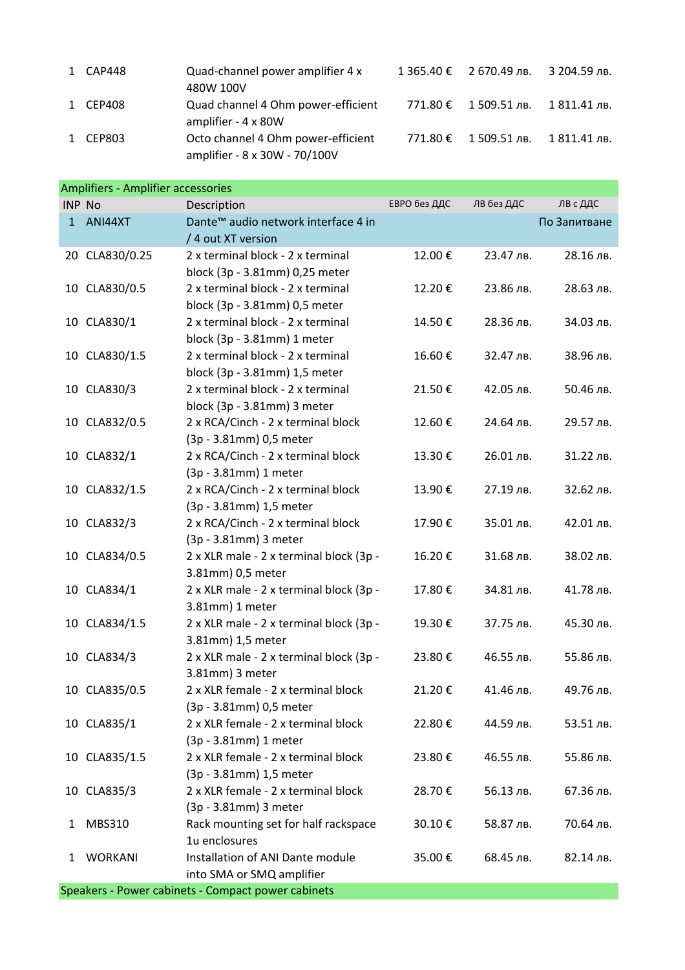| 1 CAP448 | Quad-channel power amplifier 4 x<br>480W 100V                       | $1365.40 \t\epsilon$ 2 670.49 лв. | 3 204.59 лв. |
|----------|---------------------------------------------------------------------|-----------------------------------|--------------|
| 1 CEP408 | Quad channel 4 Ohm power-efficient<br>amplifier - 4 x 80W           | 771.80 € 1 509.51 лв.             | 1 811.41 лв. |
| 1 CEP803 | Octo channel 4 Ohm power-efficient<br>amplifier - 8 x 30W - 70/100V | 771.80 € 1 509.51 лв.             | 1 811.41 лв. |

|               | <b>Amplifiers - Amplifier accessories</b> |                                                                |              |            |              |  |  |  |
|---------------|-------------------------------------------|----------------------------------------------------------------|--------------|------------|--------------|--|--|--|
| <b>INP No</b> |                                           | Description                                                    | ЕВРО без ДДС | ЛВ без ДДС | ЛВ с ДДС     |  |  |  |
| $\mathbf{1}$  | ANI44XT                                   | Dante <sup>™</sup> audio network interface 4 in                |              |            | По Запитване |  |  |  |
|               |                                           | / 4 out XT version                                             |              |            |              |  |  |  |
|               | 20 CLA830/0.25                            | 2 x terminal block - 2 x terminal                              | 12.00€       | 23.47 лв.  | 28.16 лв.    |  |  |  |
|               |                                           | block (3p - 3.81mm) 0,25 meter                                 |              |            |              |  |  |  |
|               | 10 CLA830/0.5                             | 2 x terminal block - 2 x terminal                              | 12.20€       | 23.86 лв.  | 28.63 лв.    |  |  |  |
|               |                                           | block (3p - 3.81mm) 0,5 meter                                  |              |            |              |  |  |  |
|               | 10 CLA830/1                               | 2 x terminal block - 2 x terminal                              | 14.50€       | 28.36 лв.  | 34.03 лв.    |  |  |  |
|               |                                           | block (3p - 3.81mm) 1 meter                                    |              |            |              |  |  |  |
|               | 10 CLA830/1.5                             | 2 x terminal block - 2 x terminal                              | 16.60€       | 32.47 лв.  | 38.96 лв.    |  |  |  |
|               |                                           | block (3p - 3.81mm) 1,5 meter                                  |              |            |              |  |  |  |
|               | 10 CLA830/3                               | 2 x terminal block - 2 x terminal                              | 21.50€       | 42.05 лв.  | 50.46 лв.    |  |  |  |
|               |                                           | block (3p - 3.81mm) 3 meter                                    |              |            |              |  |  |  |
|               | 10 CLA832/0.5                             | 2 x RCA/Cinch - 2 x terminal block                             | 12.60€       | 24.64 лв.  | 29.57 лв.    |  |  |  |
|               |                                           | (3p - 3.81mm) 0,5 meter                                        |              |            |              |  |  |  |
| 10            | CLA832/1                                  | 2 x RCA/Cinch - 2 x terminal block                             | 13.30€       | 26.01 лв.  | 31.22 лв.    |  |  |  |
|               |                                           | (3p - 3.81mm) 1 meter                                          |              |            |              |  |  |  |
|               | 10 CLA832/1.5                             | 2 x RCA/Cinch - 2 x terminal block                             | 13.90€       | 27.19 лв.  | 32.62 лв.    |  |  |  |
|               |                                           | (3p - 3.81mm) 1,5 meter                                        |              |            |              |  |  |  |
|               | 10 CLA832/3                               | 2 x RCA/Cinch - 2 x terminal block                             | 17.90€       | 35.01 лв.  | 42.01 лв.    |  |  |  |
|               |                                           | (3p - 3.81mm) 3 meter                                          |              |            |              |  |  |  |
| 10            | CLA834/0.5                                | 2 x XLR male - 2 x terminal block (3p -                        | 16.20€       | 31.68 лв.  | 38.02 лв.    |  |  |  |
|               |                                           | 3.81mm) 0,5 meter                                              |              |            |              |  |  |  |
|               | 10 CLA834/1                               | 2 x XLR male - 2 x terminal block (3p -                        | 17.80€       | 34.81 лв.  | 41.78 лв.    |  |  |  |
|               |                                           | 3.81mm) 1 meter                                                |              |            |              |  |  |  |
|               | 10 CLA834/1.5                             | 2 x XLR male - 2 x terminal block (3p -                        | 19.30€       | 37.75 лв.  | 45.30 лв.    |  |  |  |
|               |                                           | 3.81mm) 1,5 meter                                              |              |            |              |  |  |  |
|               | 10 CLA834/3                               | 2 x XLR male - 2 x terminal block (3p -                        | 23.80€       | 46.55 лв.  | 55.86 лв.    |  |  |  |
|               |                                           | 3.81mm) 3 meter                                                |              |            |              |  |  |  |
|               | 10 CLA835/0.5                             | 2 x XLR female - 2 x terminal block                            | 21.20€       | 41.46 лв.  | 49.76 лв.    |  |  |  |
|               |                                           | (3p - 3.81mm) 0,5 meter                                        |              |            |              |  |  |  |
|               | 10 CLA835/1                               | 2 x XLR female - 2 x terminal block                            | 22.80€       | 44.59 лв.  | 53.51 лв.    |  |  |  |
|               |                                           | (3p - 3.81mm) 1 meter                                          |              |            |              |  |  |  |
|               | 10 CLA835/1.5                             | 2 x XLR female - 2 x terminal block<br>(3p - 3.81mm) 1,5 meter | 23.80€       | 46.55 лв.  | 55.86 лв.    |  |  |  |
|               |                                           |                                                                |              |            |              |  |  |  |
| 10            | CLA835/3                                  | 2 x XLR female - 2 x terminal block<br>(3p - 3.81mm) 3 meter   | 28.70€       | 56.13 лв.  | 67.36 лв.    |  |  |  |
|               |                                           |                                                                |              |            |              |  |  |  |
| 1             | MBS310                                    | Rack mounting set for half rackspace<br>1u enclosures          | 30.10€       | 58.87 лв.  | 70.64 лв.    |  |  |  |
| 1             | <b>WORKANI</b>                            | Installation of ANI Dante module                               | 35.00€       | 68.45 лв.  | 82.14 лв.    |  |  |  |
|               |                                           |                                                                |              |            |              |  |  |  |
|               |                                           | into SMA or SMQ amplifier                                      |              |            |              |  |  |  |

Speakers - Power cabinets - Compact power cabinets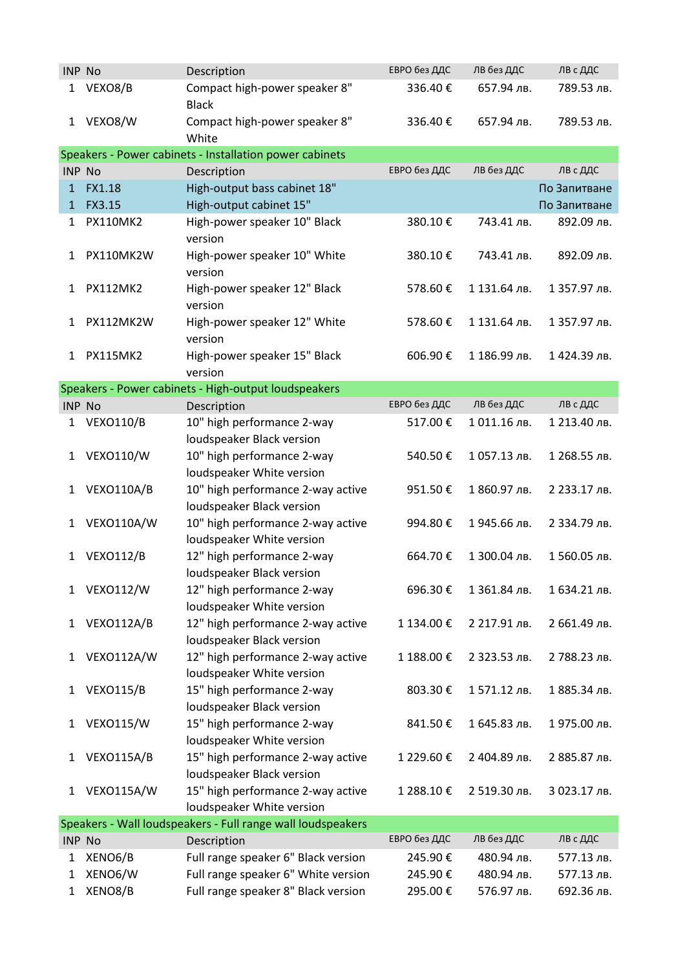| <b>INP No</b> |                  | Description                                                    | ЕВРО без ДДС | ЛВ без ДДС   | ЛВ с ДДС     |
|---------------|------------------|----------------------------------------------------------------|--------------|--------------|--------------|
| 1             | VEXO8/B          | Compact high-power speaker 8"<br><b>Black</b>                  | 336.40€      | 657.94 лв.   | 789.53 лв.   |
| 1             | VEXO8/W          | Compact high-power speaker 8"<br>White                         | 336.40€      | 657.94 лв.   | 789.53 лв.   |
|               |                  | Speakers - Power cabinets - Installation power cabinets        |              |              |              |
| INP No        |                  | Description                                                    | ЕВРО без ДДС | ЛВ без ДДС   | ЛВ с ДДС     |
| 1             | <b>FX1.18</b>    | High-output bass cabinet 18"                                   |              |              | По Запитване |
| $\mathbf{1}$  | FX3.15           | High-output cabinet 15"                                        |              |              | По Запитване |
| 1             | <b>PX110MK2</b>  | High-power speaker 10" Black<br>version                        | 380.10€      | 743.41 лв.   | 892.09 лв.   |
| 1             | PX110MK2W        | High-power speaker 10" White<br>version                        | 380.10€      | 743.41 лв.   | 892.09 лв.   |
| 1             | <b>PX112MK2</b>  | High-power speaker 12" Black<br>version                        | 578.60€      | 1 131.64 лв. | 1 357.97 лв. |
| 1             | PX112MK2W        | High-power speaker 12" White<br>version                        | 578.60€      | 1 131.64 лв. | 1 357.97 лв. |
| 1             | <b>PX115MK2</b>  | High-power speaker 15" Black<br>version                        | 606.90€      | 1 186.99 лв. | 1424.39 лв.  |
|               |                  | Speakers - Power cabinets - High-output loudspeakers           |              |              |              |
| INP No        |                  | Description                                                    | ЕВРО без ДДС | ЛВ без ДДС   | ЛВ с ДДС     |
| 1             | <b>VEXO110/B</b> | 10" high performance 2-way<br>loudspeaker Black version        | 517.00€      | 1011.16 лв.  | 1 213.40 лв. |
| 1             | <b>VEXO110/W</b> | 10" high performance 2-way<br>loudspeaker White version        | 540.50€      | 1057.13 лв.  | 1 268.55 лв. |
| 1             | VEXO110A/B       | 10" high performance 2-way active<br>loudspeaker Black version | 951.50€      | 1 860.97 лв. | 2 233.17 лв. |
| 1             | VEXO110A/W       | 10" high performance 2-way active<br>loudspeaker White version | 994.80€      | 1945.66 лв.  | 2 334.79 лв. |
| 1             | <b>VEXO112/B</b> | 12" high performance 2-way<br>loudspeaker Black version        | 664.70€      | 1 300.04 лв. | 1560.05 лв.  |
| 1             | <b>VEXO112/W</b> | 12" high performance 2-way<br>loudspeaker White version        | 696.30€      | 1 361.84 лв. | 1 634.21 лв. |
| 1             | VEXO112A/B       | 12" high performance 2-way active<br>loudspeaker Black version | 1 134.00€    | 2 217.91 лв. | 2 661.49 лв. |
| 1             | VEXO112A/W       | 12" high performance 2-way active<br>loudspeaker White version | 1 188.00 €   | 2 323.53 лв. | 2 788.23 лв. |
| 1             | <b>VEXO115/B</b> | 15" high performance 2-way<br>loudspeaker Black version        | 803.30€      | 1571.12 лв.  | 1 885.34 лв. |
| 1             | <b>VEXO115/W</b> | 15" high performance 2-way<br>loudspeaker White version        | 841.50€      | 1 645.83 лв. | 1975.00 лв.  |
| 1             | VEXO115A/B       | 15" high performance 2-way active<br>loudspeaker Black version | 1 229.60 €   | 2 404.89 лв. | 2 885.87 лв. |
| 1             | VEXO115A/W       | 15" high performance 2-way active<br>loudspeaker White version | 1 288.10€    | 2 519.30 лв. | 3 023.17 лв. |
|               |                  | Speakers - Wall loudspeakers - Full range wall loudspeakers    |              |              |              |
| <b>INP No</b> |                  | Description                                                    | ЕВРО без ДДС | лв без ддс   | ЛВ с ДДС     |
| 1             | XENO6/B          | Full range speaker 6" Black version                            | 245.90€      | 480.94 лв.   | 577.13 лв.   |
| 1             | XENO6/W          | Full range speaker 6" White version                            | 245.90€      | 480.94 лв.   | 577.13 лв.   |
| 1             | XENO8/B          | Full range speaker 8" Black version                            | 295.00€      | 576.97 лв.   | 692.36 лв.   |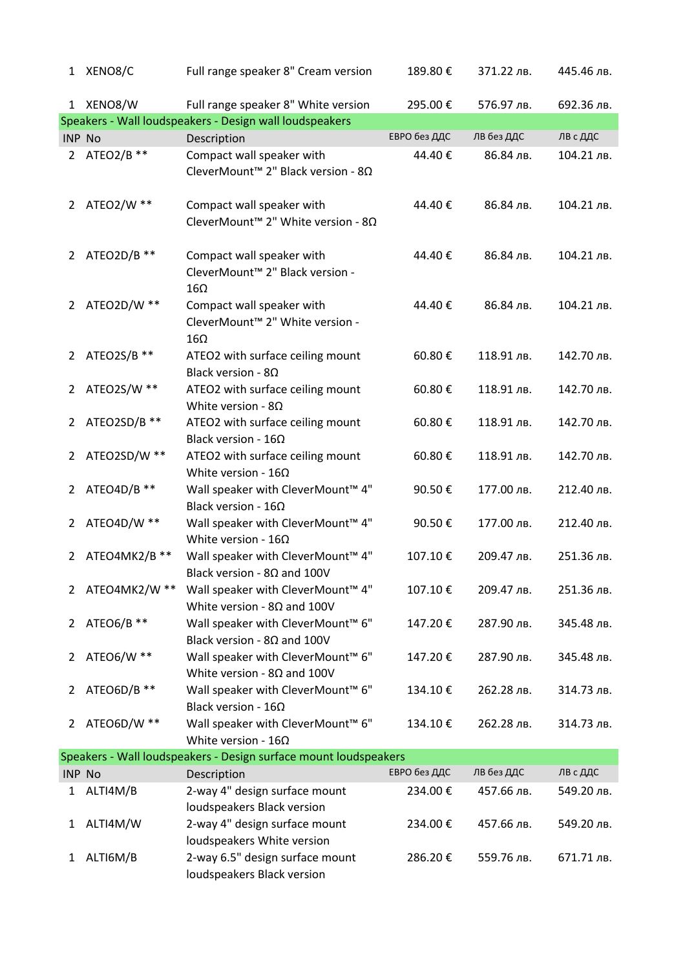|                | 1 XENO8/C     | Full range speaker 8" Cream version                                                    | 189.80€      | 371.22 лв. | 445.46 лв. |
|----------------|---------------|----------------------------------------------------------------------------------------|--------------|------------|------------|
|                | 1 XENO8/W     | Full range speaker 8" White version                                                    | 295.00€      | 576.97 лв. | 692.36 лв. |
|                |               | Speakers - Wall loudspeakers - Design wall loudspeakers                                |              |            |            |
| <b>INP No</b>  |               | Description                                                                            | ЕВРО без ДДС | ЛВ без ДДС | ЛВ с ДДС   |
| $\overline{2}$ | ATEO2/B **    | Compact wall speaker with<br>CleverMount <sup>™</sup> 2" Black version - 8Ω            | 44.40€       | 86.84 лв.  | 104.21 лв. |
| $\mathbf{2}$   | ATEO2/W **    | Compact wall speaker with<br>CleverMount <sup>™</sup> 2" White version - 8Ω            | 44.40€       | 86.84 лв.  | 104.21 лв. |
| $\overline{2}$ | ATEO2D/B **   | Compact wall speaker with<br>CleverMount™ 2" Black version -<br>$16\Omega$             | 44.40€       | 86.84 лв.  | 104.21 лв. |
|                | 2 ATEO2D/W ** | Compact wall speaker with<br>CleverMount <sup>™</sup> 2" White version -<br>$16\Omega$ | 44.40€       | 86.84 лв.  | 104.21 лв. |
| 2              | ATEO2S/B **   | ATEO2 with surface ceiling mount<br>Black version - $8\Omega$                          | 60.80€       | 118.91 лв. | 142.70 лв. |
| 2              | ATEO2S/W **   | ATEO2 with surface ceiling mount<br>White version - $8\Omega$                          | 60.80€       | 118.91 лв. | 142.70 лв. |
| $\mathbf{2}$   | ATEO2SD/B **  | ATEO2 with surface ceiling mount<br>Black version - $16\Omega$                         | 60.80€       | 118.91 лв. | 142.70 лв. |
| 2              | ATEO2SD/W **  | ATEO2 with surface ceiling mount<br>White version - $16\Omega$                         | 60.80€       | 118.91 лв. | 142.70 лв. |
| 2              | ATEO4D/B **   | Wall speaker with CleverMount™ 4"<br>Black version - $16\Omega$                        | 90.50€       | 177.00 лв. | 212.40 лв. |
| $\overline{2}$ | ATEO4D/W **   | Wall speaker with CleverMount™ 4"<br>White version - $16\Omega$                        | 90.50€       | 177.00 лв. | 212.40 лв. |
| 2              | ATEO4MK2/B ** | Wall speaker with CleverMount™ 4"<br>Black version - $8\Omega$ and 100V                | 107.10€      | 209.47 лв. | 251.36 лв. |
| 2              | ATEO4MK2/W ** | Wall speaker with CleverMount™ 4"<br>White version - $8\Omega$ and 100V                | 107.10€      | 209.47 лв. | 251.36 лв. |
| 2              | ATEO6/B **    | Wall speaker with CleverMount™ 6"<br>Black version - $8\Omega$ and 100V                | 147.20€      | 287.90 лв. | 345.48 лв. |
| 2              | ATEO6/W **    | Wall speaker with CleverMount™ 6"<br>White version - $8\Omega$ and 100V                | 147.20€      | 287.90 лв. | 345.48 лв. |
| 2              | ATEO6D/B **   | Wall speaker with CleverMount™ 6"<br>Black version - $16\Omega$                        | 134.10€      | 262.28 лв. | 314.73 лв. |
| $\overline{2}$ | ATEO6D/W **   | Wall speaker with CleverMount <sup>™</sup> 6"<br>White version - $16\Omega$            | 134.10€      | 262.28 лв. | 314.73 лв. |
|                |               | Speakers - Wall loudspeakers - Design surface mount loudspeakers                       |              |            |            |
| <b>INP No</b>  |               | Description                                                                            | ЕВРО без ДДС | ЛВ без ДДС | ЛВ с ДДС   |
| 1              | ALTI4M/B      | 2-way 4" design surface mount<br>loudspeakers Black version                            | 234.00€      | 457.66 лв. | 549.20 лв. |
| 1              | ALTI4M/W      | 2-way 4" design surface mount<br>loudspeakers White version                            | 234.00€      | 457.66 лв. | 549.20 лв. |
| 1              | ALTI6M/B      | 2-way 6.5" design surface mount<br>loudspeakers Black version                          | 286.20€      | 559.76 лв. | 671.71 лв. |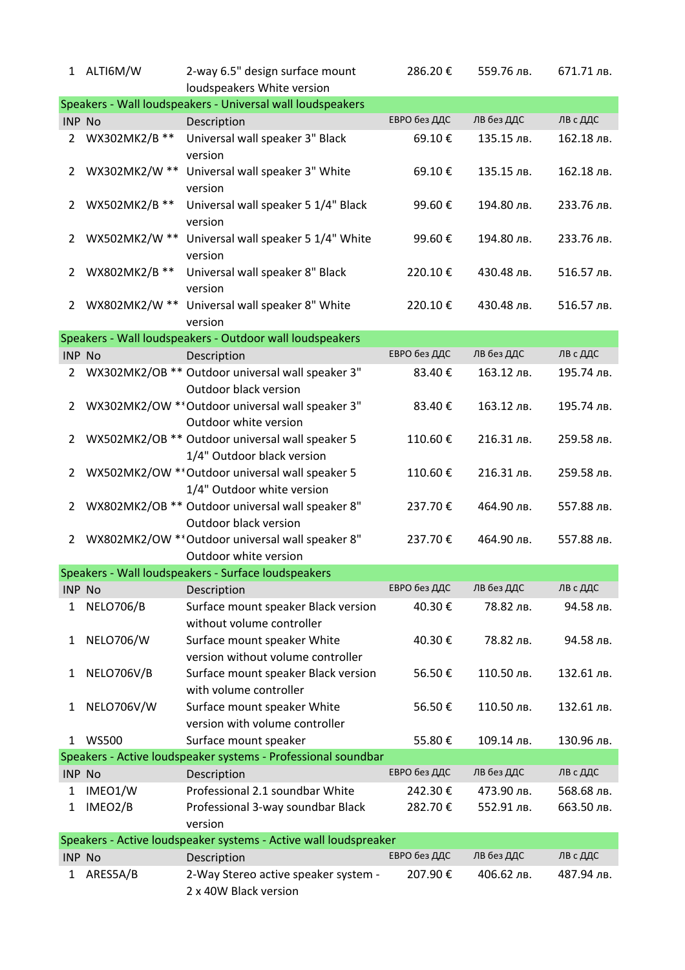| $\mathbf{1}$   | ALTI6M/W                                                   | 2-way 6.5" design surface mount<br>loudspeakers White version                 | 286.20€      | 559.76 лв. | 671.71 лв. |  |  |  |
|----------------|------------------------------------------------------------|-------------------------------------------------------------------------------|--------------|------------|------------|--|--|--|
|                | Speakers - Wall loudspeakers - Universal wall loudspeakers |                                                                               |              |            |            |  |  |  |
| <b>INP No</b>  |                                                            | Description                                                                   | ЕВРО без ДДС | ЛВ без ДДС | ЛВ с ДДС   |  |  |  |
| 2              | WX302MK2/B **                                              | Universal wall speaker 3" Black<br>version                                    | 69.10€       | 135.15 лв. | 162.18 лв. |  |  |  |
| 2              | WX302MK2/W **                                              | Universal wall speaker 3" White<br>version                                    | 69.10€       | 135.15 лв. | 162.18 лв. |  |  |  |
| 2              | WX502MK2/B **                                              | Universal wall speaker 5 1/4" Black<br>version                                | 99.60€       | 194.80 лв. | 233.76 лв. |  |  |  |
| 2              | WX502MK2/W **                                              | Universal wall speaker 5 1/4" White<br>version                                | 99.60€       | 194.80 лв. | 233.76 лв. |  |  |  |
| 2              | WX802MK2/B **                                              | Universal wall speaker 8" Black<br>version                                    | 220.10€      | 430.48 лв. | 516.57 лв. |  |  |  |
| $\overline{2}$ | WX802MK2/W **                                              | Universal wall speaker 8" White<br>version                                    | 220.10€      | 430.48 лв. | 516.57 лв. |  |  |  |
|                |                                                            | Speakers - Wall loudspeakers - Outdoor wall loudspeakers                      |              |            |            |  |  |  |
| <b>INP No</b>  |                                                            | Description                                                                   | ЕВРО без ДДС | ЛВ без ДДС | ЛВ с ДДС   |  |  |  |
| 2              |                                                            | WX302MK2/OB ** Outdoor universal wall speaker 3"<br>Outdoor black version     | 83.40€       | 163.12 лв. | 195.74 лв. |  |  |  |
| 2              |                                                            | WX302MK2/OW ** Outdoor universal wall speaker 3"<br>Outdoor white version     | 83.40€       | 163.12 лв. | 195.74 лв. |  |  |  |
| 2              |                                                            | WX502MK2/OB ** Outdoor universal wall speaker 5<br>1/4" Outdoor black version | 110.60€      | 216.31 лв. | 259.58 лв. |  |  |  |
| 2              |                                                            | WX502MK2/OW ** Outdoor universal wall speaker 5<br>1/4" Outdoor white version | 110.60€      | 216.31 лв. | 259.58 лв. |  |  |  |
| 2              |                                                            | WX802MK2/OB ** Outdoor universal wall speaker 8"<br>Outdoor black version     | 237.70€      | 464.90 лв. | 557.88 лв. |  |  |  |
| $\overline{2}$ |                                                            | WX802MK2/OW ** Outdoor universal wall speaker 8"<br>Outdoor white version     | 237.70€      | 464.90 лв. | 557.88 лв. |  |  |  |
|                |                                                            | Speakers - Wall loudspeakers - Surface loudspeakers                           |              |            |            |  |  |  |
| <b>INP No</b>  |                                                            | Description                                                                   | ЕВРО без ДДС | ЛВ без ДДС | ЛВ с ДДС   |  |  |  |
| 1              | <b>NELO706/B</b>                                           | Surface mount speaker Black version<br>without volume controller              | 40.30€       | 78.82 лв.  | 94.58 лв.  |  |  |  |
| 1              | <b>NELO706/W</b>                                           | Surface mount speaker White<br>version without volume controller              | 40.30€       | 78.82 лв.  | 94.58 лв.  |  |  |  |
| 1              | NELO706V/B                                                 | Surface mount speaker Black version<br>with volume controller                 | 56.50€       | 110.50 лв. | 132.61 лв. |  |  |  |
| 1              | NELO706V/W                                                 | Surface mount speaker White<br>version with volume controller                 | 56.50€       | 110.50 лв. | 132.61 лв. |  |  |  |
| 1              | <b>WS500</b>                                               | Surface mount speaker                                                         | 55.80€       | 109.14 лв. | 130.96 лв. |  |  |  |
|                |                                                            | Speakers - Active loudspeaker systems - Professional soundbar                 |              |            |            |  |  |  |
| INP No         |                                                            | Description                                                                   | ЕВРО без ДДС | лв без ддс | ЛВ с ДДС   |  |  |  |
| 1              | IMEO1/W                                                    | Professional 2.1 soundbar White                                               | 242.30€      | 473.90 лв. | 568.68 лв. |  |  |  |
| 1              | IMEO2/B                                                    | Professional 3-way soundbar Black<br>version                                  | 282.70€      | 552.91 лв. | 663.50 лв. |  |  |  |
|                |                                                            | Speakers - Active loudspeaker systems - Active wall loudspreaker              |              |            |            |  |  |  |
| <b>INP No</b>  |                                                            | Description                                                                   | ЕВРО без ДДС | ЛВ без ДДС | ЛВ с ДДС   |  |  |  |
| 1              | ARES5A/B                                                   | 2-Way Stereo active speaker system -<br>2 x 40W Black version                 | 207.90€      | 406.62 лв. | 487.94 лв. |  |  |  |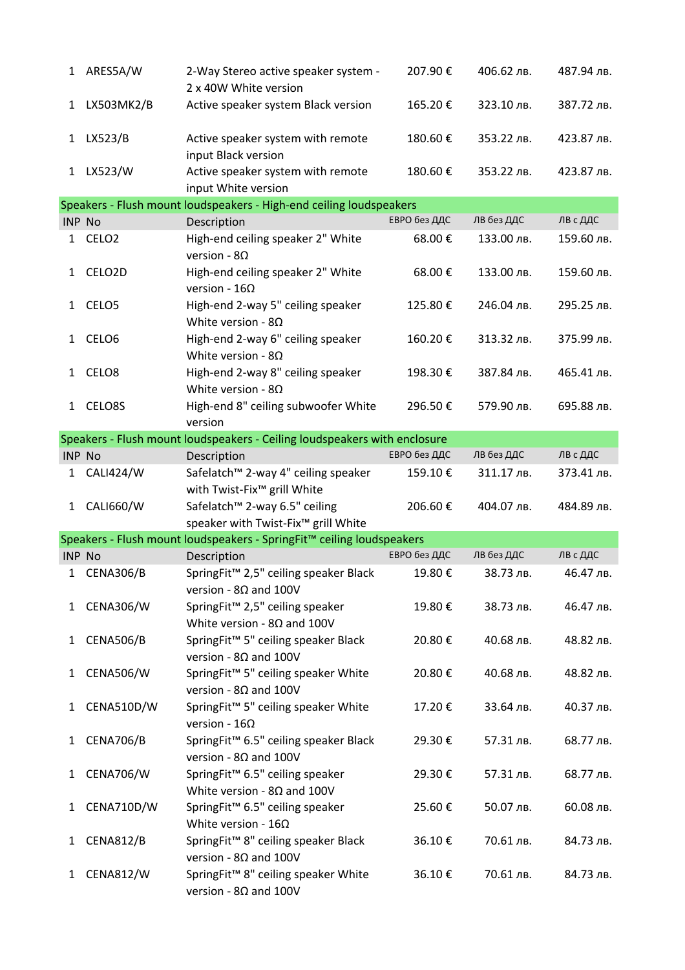| 1             | ARES5A/W            | 2-Way Stereo active speaker system -<br>2 x 40W White version                              | 207.90€      | 406.62 лв. | 487.94 лв. |
|---------------|---------------------|--------------------------------------------------------------------------------------------|--------------|------------|------------|
| 1             | LX503MK2/B          | Active speaker system Black version                                                        | 165.20€      | 323.10 лв. | 387.72 лв. |
|               | 1 LX523/B           | Active speaker system with remote<br>input Black version                                   | 180.60€      | 353.22 лв. | 423.87 лв. |
| 1             | LX523/W             | Active speaker system with remote<br>input White version                                   | 180.60€      | 353.22 лв. | 423.87 лв. |
|               |                     | Speakers - Flush mount loudspeakers - High-end ceiling loudspeakers                        |              |            |            |
| <b>INP No</b> |                     | Description                                                                                | ЕВРО без ДДС | ЛВ без ДДС | ЛВ с ДДС   |
| 1             | CELO <sub>2</sub>   | High-end ceiling speaker 2" White<br>version - $8\Omega$                                   | 68.00€       | 133.00 лв. | 159.60 лв. |
| 1             | CELO <sub>2</sub> D | High-end ceiling speaker 2" White<br>version - $16\Omega$                                  | 68.00€       | 133.00 лв. | 159.60 лв. |
|               | 1 CELO5             | High-end 2-way 5" ceiling speaker<br>White version - $8\Omega$                             | 125.80€      | 246.04 лв. | 295.25 лв. |
| $\mathbf{1}$  | CELO <sub>6</sub>   | High-end 2-way 6" ceiling speaker<br>White version - $8\Omega$                             | 160.20€      | 313.32 лв. | 375.99 лв. |
|               | 1 CELO8             | High-end 2-way 8" ceiling speaker<br>White version - $8\Omega$                             | 198.30€      | 387.84 лв. | 465.41 лв. |
| $\mathbf{1}$  | CELO8S              | High-end 8" ceiling subwoofer White<br>version                                             | 296.50€      | 579.90 лв. | 695.88 лв. |
|               |                     | Speakers - Flush mount loudspeakers - Ceiling loudspeakers with enclosure                  |              |            |            |
| INP No        |                     | Description                                                                                | ЕВРО без ДДС | ЛВ без ДДС | ЛВ с ДДС   |
| $\mathbf{1}$  | <b>CALI424/W</b>    | Safelatch <sup>™</sup> 2-way 4" ceiling speaker<br>with Twist-Fix <sup>™</sup> grill White | 159.10€      | 311.17 лв. | 373.41 лв. |
| $\mathbf{1}$  | CALI660/W           | Safelatch <sup>™</sup> 2-way 6.5" ceiling<br>speaker with Twist-Fix™ grill White           | 206.60€      | 404.07 лв. | 484.89 лв. |
|               |                     | Speakers - Flush mount loudspeakers - SpringFit™ ceiling loudspeakers                      |              |            |            |
| <b>INP No</b> |                     | Description                                                                                | ЕВРО без ДДС | ЛВ без ДДС | ЛВ с ДДС   |
| 1             | CENA306/B           | SpringFit <sup>™</sup> 2,5" ceiling speaker Black<br>version - $8\Omega$ and 100V          | 19.80€       | 38.73 лв.  | 46.47 лв.  |
| 1             | <b>CENA306/W</b>    | SpringFit <sup>™</sup> 2,5" ceiling speaker<br>White version - $8\Omega$ and 100V          | 19.80€       | 38.73 лв.  | 46.47 лв.  |
| $\mathbf{1}$  | CENA506/B           | SpringFit <sup>™</sup> 5" ceiling speaker Black<br>version - $8\Omega$ and 100V            | 20.80€       | 40.68 лв.  | 48.82 лв.  |
| 1             | <b>CENA506/W</b>    | SpringFit <sup>™</sup> 5" ceiling speaker White<br>version - $8\Omega$ and 100V            | 20.80€       | 40.68 лв.  | 48.82 лв.  |
| 1             | CENA510D/W          | SpringFit <sup>™</sup> 5" ceiling speaker White<br>version - $16\Omega$                    | 17.20€       | 33.64 лв.  | 40.37 лв.  |
| 1             | <b>CENA706/B</b>    | SpringFit™ 6.5" ceiling speaker Black<br>version - $8\Omega$ and 100V                      | 29.30€       | 57.31 лв.  | 68.77 лв.  |
| 1             | <b>CENA706/W</b>    | SpringFit <sup>™</sup> 6.5" ceiling speaker<br>White version - $8\Omega$ and 100V          | 29.30€       | 57.31 лв.  | 68.77 лв.  |
| 1             | CENA710D/W          | SpringFit <sup>™</sup> 6.5" ceiling speaker<br>White version - $16\Omega$                  | 25.60€       | 50.07 лв.  | 60.08 лв.  |
| 1             | <b>CENA812/B</b>    | SpringFit™ 8" ceiling speaker Black<br>version - $8\Omega$ and 100V                        | 36.10€       | 70.61 лв.  | 84.73 лв.  |
| 1             | <b>CENA812/W</b>    | SpringFit <sup>™</sup> 8" ceiling speaker White<br>version - $8\Omega$ and 100V            | 36.10€       | 70.61 лв.  | 84.73 лв.  |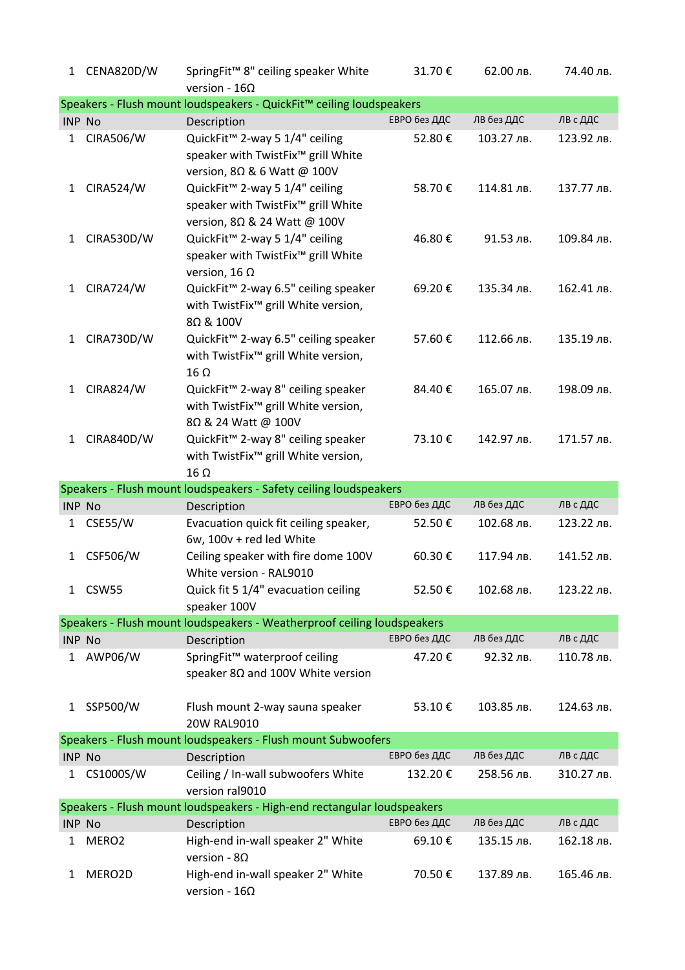| 1            | CENA820D/W                                                        | SpringFit™ 8" ceiling speaker White<br>version - $16\Omega$                                                      | 31.70€       | 62.00 лв.  | 74.40 лв.  |  |  |  |  |  |
|--------------|-------------------------------------------------------------------|------------------------------------------------------------------------------------------------------------------|--------------|------------|------------|--|--|--|--|--|
|              |                                                                   | Speakers - Flush mount loudspeakers - QuickFit™ ceiling loudspeakers                                             |              |            |            |  |  |  |  |  |
|              | <b>INP No</b>                                                     | Description                                                                                                      | ЕВРО без ДДС | ЛВ без ДДС | ЛВ с ДДС   |  |  |  |  |  |
| 1            | <b>CIRA506/W</b>                                                  | QuickFit <sup>™</sup> 2-way 5 1/4" ceiling<br>speaker with TwistFix™ grill White<br>version, 8Ω & 6 Watt @ 100V  | 52.80€       | 103.27 лв. | 123.92 лв. |  |  |  |  |  |
| 1            | <b>CIRA524/W</b>                                                  | QuickFit <sup>™</sup> 2-way 5 1/4" ceiling<br>speaker with TwistFix™ grill White<br>version, 8Ω & 24 Watt @ 100V | 58.70€       | 114.81 лв. | 137.77 лв. |  |  |  |  |  |
| 1            | <b>CIRA530D/W</b>                                                 | QuickFit™ 2-way 5 1/4" ceiling<br>speaker with TwistFix™ grill White<br>version, 16 $\Omega$                     | 46.80€       | 91.53 лв.  | 109.84 лв. |  |  |  |  |  |
| 1            | <b>CIRA724/W</b>                                                  | QuickFit <sup>™</sup> 2-way 6.5" ceiling speaker<br>with TwistFix <sup>™</sup> grill White version,<br>8Ω & 100V | 69.20€       | 135.34 лв. | 162.41 лв. |  |  |  |  |  |
| $\mathbf{1}$ | CIRA730D/W                                                        | QuickFit™ 2-way 6.5" ceiling speaker<br>with TwistFix <sup>™</sup> grill White version,<br>$16 \Omega$           | 57.60€       | 112.66 лв. | 135.19 лв. |  |  |  |  |  |
| 1            | <b>CIRA824/W</b>                                                  | QuickFit™ 2-way 8" ceiling speaker<br>with TwistFix <sup>™</sup> grill White version,<br>8Ω & 24 Watt @ 100V     | 84.40€       | 165.07 лв. | 198.09 лв. |  |  |  |  |  |
| $\mathbf{1}$ | <b>CIRA840D/W</b>                                                 | QuickFit™ 2-way 8" ceiling speaker<br>with TwistFix <sup>™</sup> grill White version,<br>$16 \Omega$             | 73.10€       | 142.97 лв. | 171.57 лв. |  |  |  |  |  |
|              | Speakers - Flush mount loudspeakers - Safety ceiling loudspeakers |                                                                                                                  |              |            |            |  |  |  |  |  |
|              |                                                                   |                                                                                                                  |              |            |            |  |  |  |  |  |
|              | INP No                                                            | Description                                                                                                      | ЕВРО без ДДС | ЛВ без ДДС | ЛВ с ДДС   |  |  |  |  |  |
| 1            | <b>CSE55/W</b>                                                    | Evacuation quick fit ceiling speaker,<br>6w, 100v + red led White                                                | 52.50€       | 102.68 лв. | 123.22 лв. |  |  |  |  |  |
| 1            | <b>CSF506/W</b>                                                   | Ceiling speaker with fire dome 100V<br>White version - RAL9010                                                   | 60.30€       | 117.94 лв. | 141.52 лв. |  |  |  |  |  |
| 1            | CSW55                                                             | Quick fit 5 1/4" evacuation ceiling<br>speaker 100V                                                              | 52.50€       | 102.68 лв. | 123.22 лв. |  |  |  |  |  |
|              |                                                                   | Speakers - Flush mount loudspeakers - Weatherproof ceiling loudspeakers                                          |              |            |            |  |  |  |  |  |
|              | INP No                                                            | Description                                                                                                      | ЕВРО без ДДС | ЛВ без ДДС | ЛВ с ДДС   |  |  |  |  |  |
| 1            | AWP06/W                                                           | SpringFit™ waterproof ceiling<br>speaker $8\Omega$ and 100V White version                                        | 47.20€       | 92.32 лв.  | 110.78 лв. |  |  |  |  |  |
| 1            | SSP500/W                                                          | Flush mount 2-way sauna speaker<br>20W RAL9010                                                                   | 53.10€       | 103.85 лв. | 124.63 лв. |  |  |  |  |  |
|              |                                                                   | Speakers - Flush mount loudspeakers - Flush mount Subwoofers                                                     |              |            |            |  |  |  |  |  |
|              | <b>INP No</b>                                                     | Description                                                                                                      | ЕВРО без ДДС | ЛВ без ДДС | ЛВ с ДДС   |  |  |  |  |  |
| 1            | CS1000S/W                                                         | Ceiling / In-wall subwoofers White<br>version ral9010                                                            | 132.20€      | 258.56 лв. | 310.27 лв. |  |  |  |  |  |
|              |                                                                   | Speakers - Flush mount loudspeakers - High-end rectangular loudspeakers                                          |              |            |            |  |  |  |  |  |
|              | INP No                                                            | Description                                                                                                      | ЕВРО без ДДС | ЛВ без ДДС | ЛВ с ДДС   |  |  |  |  |  |
| 1            | MERO <sub>2</sub>                                                 | High-end in-wall speaker 2" White<br>version - $8\Omega$                                                         | 69.10€       | 135.15 лв. | 162.18 лв. |  |  |  |  |  |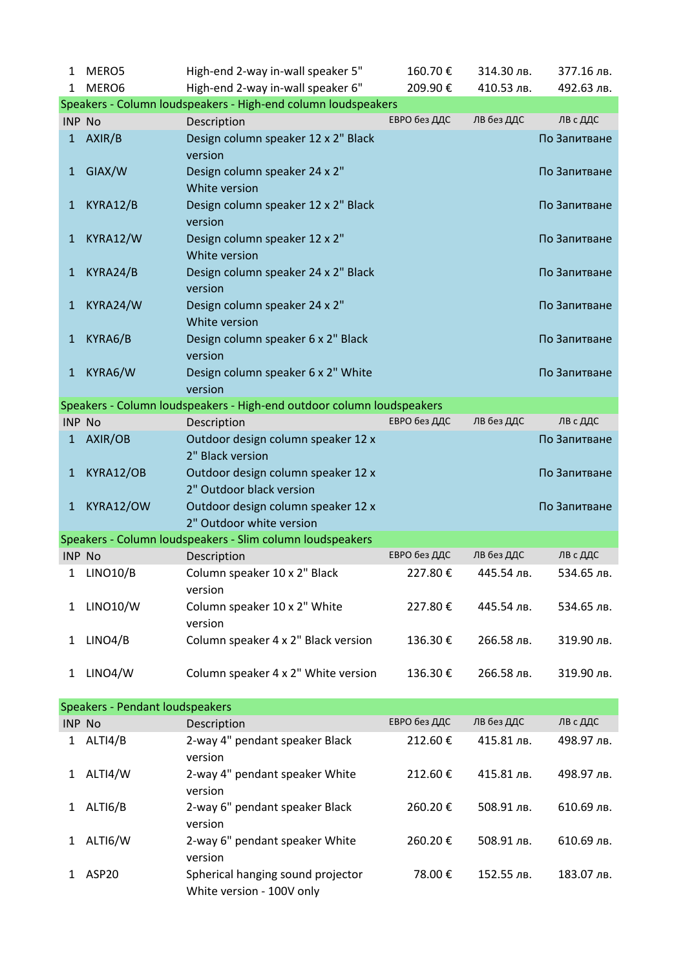| 1             | MERO5                                  | High-end 2-way in-wall speaker 5"                                     | 160.70€      | 314.30 лв. | 377.16 лв.   |
|---------------|----------------------------------------|-----------------------------------------------------------------------|--------------|------------|--------------|
| 1             | MERO6                                  | High-end 2-way in-wall speaker 6"                                     | 209.90€      | 410.53 лв. | 492.63 лв.   |
|               |                                        | Speakers - Column loudspeakers - High-end column loudspeakers         |              |            |              |
| <b>INP No</b> |                                        | Description                                                           | ЕВРО без ДДС | ЛВ без ДДС | ЛВ с ДДС     |
| $\mathbf{1}$  | AXIR/B                                 | Design column speaker 12 x 2" Black<br>version                        |              |            | По Запитване |
| 1             | GIAX/W                                 | Design column speaker 24 x 2"<br>White version                        |              |            | По Запитване |
| 1             | KYRA12/B                               | Design column speaker 12 x 2" Black<br>version                        |              |            | По Запитване |
| 1             | KYRA12/W                               | Design column speaker 12 x 2"<br>White version                        |              |            | По Запитване |
| 1             | KYRA24/B                               | Design column speaker 24 x 2" Black<br>version                        |              |            | По Запитване |
| 1             | KYRA24/W                               | Design column speaker 24 x 2"<br>White version                        |              |            | По Запитване |
| 1             | KYRA6/B                                | Design column speaker 6 x 2" Black<br>version                         |              |            | По Запитване |
| $\mathbf{1}$  | KYRA6/W                                | Design column speaker 6 x 2" White<br>version                         |              |            | По Запитване |
|               |                                        | Speakers - Column loudspeakers - High-end outdoor column loudspeakers |              |            |              |
| <b>INP No</b> |                                        | Description                                                           | ЕВРО без ДДС | ЛВ без ДДС | ЛВ с ДДС     |
| $\mathbf{1}$  | AXIR/OB                                | Outdoor design column speaker 12 x<br>2" Black version                |              |            | По Запитване |
| 1             | KYRA12/OB                              | Outdoor design column speaker 12 x<br>2" Outdoor black version        |              |            | По Запитване |
| $\mathbf{1}$  | KYRA12/OW                              | Outdoor design column speaker 12 x<br>2" Outdoor white version        |              |            | По Запитване |
|               |                                        | Speakers - Column loudspeakers - Slim column loudspeakers             |              |            |              |
| <b>INP No</b> |                                        | Description                                                           | ЕВРО без ДДС | ЛВ без ДДС | ЛВ с ДДС     |
| 1             | <b>LINO10/B</b>                        | Column speaker 10 x 2" Black<br>version                               | 227.80€      | 445.54 лв. | 534.65 лв.   |
| 1             | <b>LINO10/W</b>                        | Column speaker 10 x 2" White<br>version                               | 227.80€      | 445.54 лв. | 534.65 лв.   |
| 1             | LINO4/B                                | Column speaker 4 x 2" Black version                                   | 136.30€      | 266.58 лв. | 319.90 лв.   |
| 1             | LINO4/W                                | Column speaker 4 x 2" White version                                   | 136.30€      | 266.58 лв. | 319.90 лв.   |
|               | <b>Speakers - Pendant loudspeakers</b> |                                                                       |              |            |              |
| <b>INP No</b> |                                        | Description                                                           | ЕВРО без ДДС | ЛВ без ДДС | ЛВ с ДДС     |
| 1             | ALTI4/B                                | 2-way 4" pendant speaker Black<br>version                             | 212.60€      | 415.81 лв. | 498.97 лв.   |
| 1             | ALTI4/W                                | 2-way 4" pendant speaker White<br>version                             | 212.60€      | 415.81 лв. | 498.97 лв.   |
| 1             | ALTI6/B                                | 2-way 6" pendant speaker Black<br>version                             | 260.20€      | 508.91 лв. | 610.69 лв.   |
| 1             | ALTI6/W                                | 2-way 6" pendant speaker White<br>version                             | 260.20€      | 508.91 лв. | 610.69 лв.   |
| 1             | ASP20                                  | Spherical hanging sound projector<br>White version - 100V only        | 78.00€       | 152.55 лв. | 183.07 лв.   |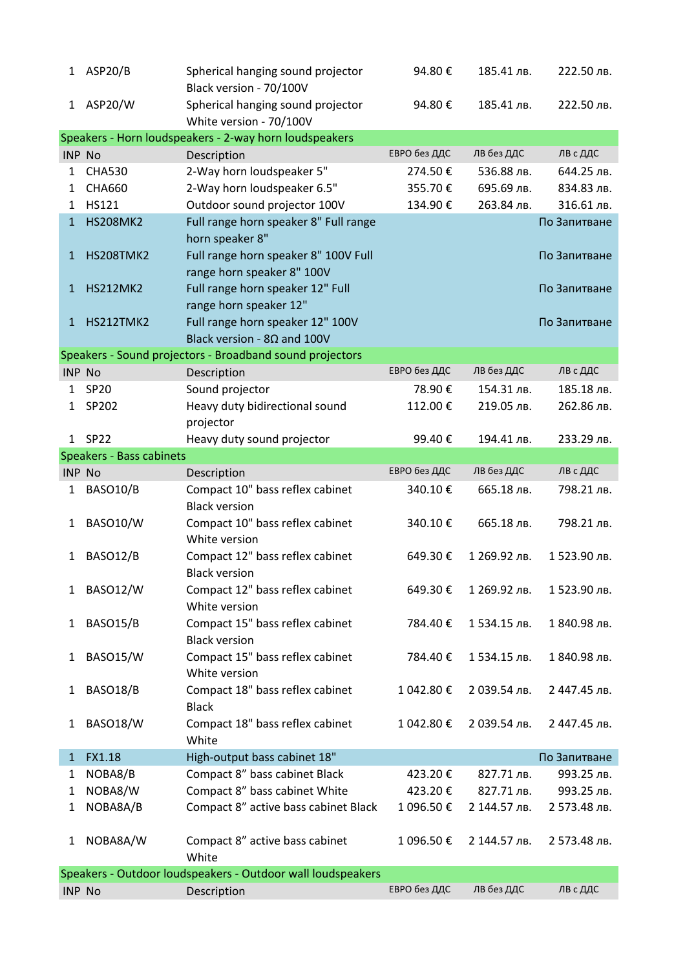|              | 1 ASP20/B                                              | Spherical hanging sound projector<br>Black version - 70/100V           | 94.80€       | 185.41 лв.   | 222.50 лв.   |  |  |  |  |
|--------------|--------------------------------------------------------|------------------------------------------------------------------------|--------------|--------------|--------------|--|--|--|--|
| $\mathbf{1}$ | ASP20/W                                                | Spherical hanging sound projector<br>White version - 70/100V           | 94.80€       | 185.41 лв.   | 222.50 лв.   |  |  |  |  |
|              | Speakers - Horn loudspeakers - 2-way horn loudspeakers |                                                                        |              |              |              |  |  |  |  |
|              | <b>INP No</b>                                          | Description                                                            | ЕВРО без ДДС | ЛВ без ДДС   | ЛВ с ДДС     |  |  |  |  |
| 1            | <b>CHA530</b>                                          | 2-Way horn loudspeaker 5"                                              | 274.50€      | 536.88 лв.   | 644.25 лв.   |  |  |  |  |
| 1            | <b>CHA660</b>                                          | 2-Way horn loudspeaker 6.5"                                            | 355.70€      | 695.69 лв.   | 834.83 лв.   |  |  |  |  |
| 1            | <b>HS121</b>                                           | Outdoor sound projector 100V                                           | 134.90€      | 263.84 лв.   | 316.61 лв.   |  |  |  |  |
| $\mathbf{1}$ | <b>HS208MK2</b>                                        | Full range horn speaker 8" Full range                                  |              |              | По Запитване |  |  |  |  |
|              |                                                        | horn speaker 8"                                                        |              |              |              |  |  |  |  |
| 1            | <b>HS208TMK2</b>                                       | Full range horn speaker 8" 100V Full                                   |              |              | По Запитване |  |  |  |  |
|              |                                                        | range horn speaker 8" 100V                                             |              |              |              |  |  |  |  |
| $\mathbf{1}$ | <b>HS212MK2</b>                                        | Full range horn speaker 12" Full                                       |              |              | По Запитване |  |  |  |  |
|              |                                                        | range horn speaker 12"                                                 |              |              |              |  |  |  |  |
| 1            | HS212TMK2                                              | Full range horn speaker 12" 100V<br>Black version - $8\Omega$ and 100V |              |              | По Запитване |  |  |  |  |
|              |                                                        |                                                                        |              |              |              |  |  |  |  |
|              | <b>INP No</b>                                          | Speakers - Sound projectors - Broadband sound projectors               | ЕВРО без ДДС | ЛВ без ДДС   | ЛВ с ДДС     |  |  |  |  |
|              |                                                        | Description                                                            |              | 154.31 лв.   |              |  |  |  |  |
| 1            | <b>SP20</b>                                            | Sound projector                                                        | 78.90€       |              | 185.18 лв.   |  |  |  |  |
| $\mathbf{1}$ | SP202                                                  | Heavy duty bidirectional sound                                         | 112.00€      | 219.05 лв.   | 262.86 лв.   |  |  |  |  |
|              |                                                        | projector                                                              |              |              |              |  |  |  |  |
| $\mathbf{1}$ | <b>SP22</b>                                            | Heavy duty sound projector                                             | 99.40€       | 194.41 лв.   | 233.29 лв.   |  |  |  |  |
|              | <b>Speakers - Bass cabinets</b>                        |                                                                        | ЕВРО без ДДС | ЛВ без ДДС   | ЛВ с ДДС     |  |  |  |  |
|              | <b>INP No</b>                                          | Description                                                            |              |              |              |  |  |  |  |
| 1            | BASO10/B                                               | Compact 10" bass reflex cabinet<br><b>Black version</b>                | 340.10€      | 665.18 лв.   | 798.21 лв.   |  |  |  |  |
| 1            | <b>BASO10/W</b>                                        | Compact 10" bass reflex cabinet<br>White version                       | 340.10€      | 665.18 лв.   | 798.21 лв.   |  |  |  |  |
| 1            | BASO12/B                                               | Compact 12" bass reflex cabinet<br><b>Black version</b>                | 649.30€      | 1 269.92 лв. | 1523.90 лв.  |  |  |  |  |
| 1            | <b>BASO12/W</b>                                        | Compact 12" bass reflex cabinet                                        | 649.30€      | 1 269.92 лв. | 1523.90 лв.  |  |  |  |  |
|              |                                                        | White version                                                          |              |              |              |  |  |  |  |
| 1            | BASO15/B                                               | Compact 15" bass reflex cabinet                                        | 784.40€      | 1534.15 лв.  | 1 840.98 лв. |  |  |  |  |
|              |                                                        | <b>Black version</b>                                                   |              |              |              |  |  |  |  |
| 1            | BASO15/W                                               | Compact 15" bass reflex cabinet                                        | 784.40€      | 1534.15 лв.  | 1 840.98 лв. |  |  |  |  |
| 1            | BASO18/B                                               | White version<br>Compact 18" bass reflex cabinet                       | 1 042.80€    | 2 039.54 лв. | 2 447.45 лв. |  |  |  |  |
|              |                                                        | <b>Black</b>                                                           |              |              |              |  |  |  |  |
| 1            | <b>BASO18/W</b>                                        | Compact 18" bass reflex cabinet<br>White                               | 1 042.80 €   | 2 039.54 лв. | 2 447.45 лв. |  |  |  |  |
| 1            | FX1.18                                                 | High-output bass cabinet 18"                                           |              |              | По Запитване |  |  |  |  |
| 1            | NOBA8/B                                                | Compact 8" bass cabinet Black                                          | 423.20€      | 827.71 лв.   | 993.25 лв.   |  |  |  |  |
| 1            | NOBA8/W                                                | Compact 8" bass cabinet White                                          | 423.20€      | 827.71 лв.   | 993.25 лв.   |  |  |  |  |
| 1            | NOBA8A/B                                               | Compact 8" active bass cabinet Black                                   | 1 096.50€    | 2 144.57 лв. | 2 573.48 лв. |  |  |  |  |
|              |                                                        |                                                                        |              |              |              |  |  |  |  |
| 1            | NOBA8A/W                                               | Compact 8" active bass cabinet<br>White                                | 1 096.50€    | 2 144.57 лв. | 2 573.48 лв. |  |  |  |  |
|              |                                                        | Speakers - Outdoor loudspeakers - Outdoor wall loudspeakers            |              |              |              |  |  |  |  |
|              | <b>INP No</b>                                          | Description                                                            | ЕВРО без ДДС | ЛВ без ДДС   | ЛВ с ДДС     |  |  |  |  |
|              |                                                        |                                                                        |              |              |              |  |  |  |  |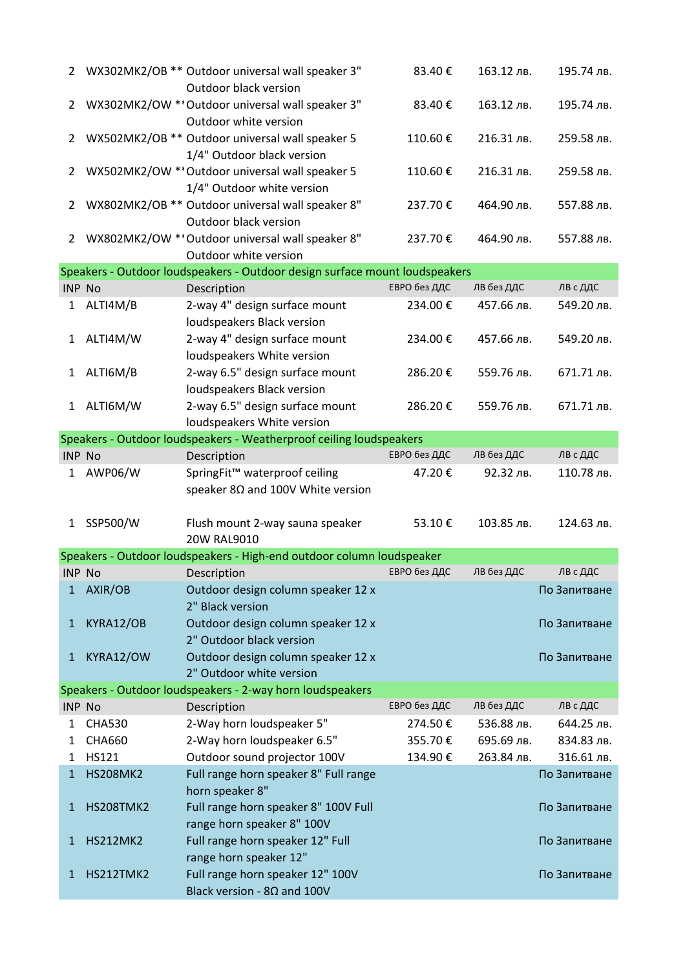| $\mathbf{2}$   |                 | WX302MK2/OB ** Outdoor universal wall speaker 3"<br>Outdoor black version     | 83.40€       | 163.12 лв. | 195.74 лв.   |
|----------------|-----------------|-------------------------------------------------------------------------------|--------------|------------|--------------|
| $\overline{2}$ |                 | WX302MK2/OW ** Outdoor universal wall speaker 3"<br>Outdoor white version     | 83.40€       | 163.12 лв. | 195.74 лв.   |
| $\overline{2}$ |                 | WX502MK2/OB ** Outdoor universal wall speaker 5<br>1/4" Outdoor black version | 110.60€      | 216.31 лв. | 259.58 лв.   |
| 2              |                 | WX502MK2/OW ** Outdoor universal wall speaker 5<br>1/4" Outdoor white version | 110.60€      | 216.31 лв. | 259.58 лв.   |
| $\overline{2}$ |                 | WX802MK2/OB ** Outdoor universal wall speaker 8"<br>Outdoor black version     | 237.70€      | 464.90 лв. | 557.88 лв.   |
| 2              |                 | WX802MK2/OW ** Outdoor universal wall speaker 8"<br>Outdoor white version     | 237.70€      | 464.90 лв. | 557.88 лв.   |
|                |                 | Speakers - Outdoor loudspeakers - Outdoor design surface mount loudspeakers   |              |            |              |
| <b>INP No</b>  |                 | Description                                                                   | ЕВРО без ДДС | ЛВ без ДДС | ЛВ с ДДС     |
| $\mathbf{1}$   | ALTI4M/B        | 2-way 4" design surface mount<br>loudspeakers Black version                   | 234.00€      | 457.66 лв. | 549.20 лв.   |
| $\mathbf{1}$   | ALTI4M/W        | 2-way 4" design surface mount<br>loudspeakers White version                   | 234.00€      | 457.66 лв. | 549.20 лв.   |
| 1              | ALTI6M/B        | 2-way 6.5" design surface mount<br>loudspeakers Black version                 | 286.20€      | 559.76 лв. | 671.71 лв.   |
| $\mathbf{1}$   | ALTI6M/W        | 2-way 6.5" design surface mount<br>loudspeakers White version                 | 286.20€      | 559.76 лв. | 671.71 лв.   |
|                |                 | Speakers - Outdoor loudspeakers - Weatherproof ceiling loudspeakers           |              |            |              |
| <b>INP No</b>  |                 | Description                                                                   | ЕВРО без ДДС | ЛВ без ДДС | ЛВ с ДДС     |
| $\mathbf{1}$   | AWP06/W         | SpringFit™ waterproof ceiling                                                 | 47.20€       | 92.32 лв.  | 110.78 лв.   |
|                |                 | speaker $8\Omega$ and 100V White version                                      |              |            |              |
| $\mathbf{1}$   | SSP500/W        | Flush mount 2-way sauna speaker<br>20W RAL9010                                | 53.10€       | 103.85 лв. | 124.63 лв.   |
|                |                 | Speakers - Outdoor loudspeakers - High-end outdoor column loudspeaker         |              |            |              |
| INP No         |                 | Description                                                                   | ЕВРО без ДДС | ЛВ без ДДС | ЛВ с ДДС     |
| 1              | AXIR/OB         | Outdoor design column speaker 12 x<br>2" Black version                        |              |            | По Запитване |
| $\mathbf{1}$   | KYRA12/OB       | Outdoor design column speaker 12 x<br>2" Outdoor black version                |              |            | По Запитване |
| $\mathbf{1}$   | KYRA12/OW       | Outdoor design column speaker 12 x<br>2" Outdoor white version                |              |            | По Запитване |
|                |                 | Speakers - Outdoor loudspeakers - 2-way horn loudspeakers                     |              |            |              |
| <b>INP No</b>  |                 | Description                                                                   | ЕВРО без ДДС | ЛВ без ДДС | ЛВ с ДДС     |
| 1              | <b>CHA530</b>   | 2-Way horn loudspeaker 5"                                                     | 274.50€      | 536.88 лв. | 644.25 лв.   |
| 1              | <b>CHA660</b>   | 2-Way horn loudspeaker 6.5"                                                   | 355.70€      | 695.69 лв. | 834.83 лв.   |
| 1              | HS121           | Outdoor sound projector 100V                                                  | 134.90€      | 263.84 лв. | 316.61 лв.   |
| 1              | <b>HS208MK2</b> | Full range horn speaker 8" Full range<br>horn speaker 8"                      |              |            | По Запитване |
| 1              | HS208TMK2       | Full range horn speaker 8" 100V Full<br>range horn speaker 8" 100V            |              |            | По Запитване |
| 1              | <b>HS212MK2</b> | Full range horn speaker 12" Full<br>range horn speaker 12"                    |              |            | По Запитване |
| 1              | HS212TMK2       | Full range horn speaker 12" 100V<br>Black version - $8\Omega$ and 100V        |              |            | По Запитване |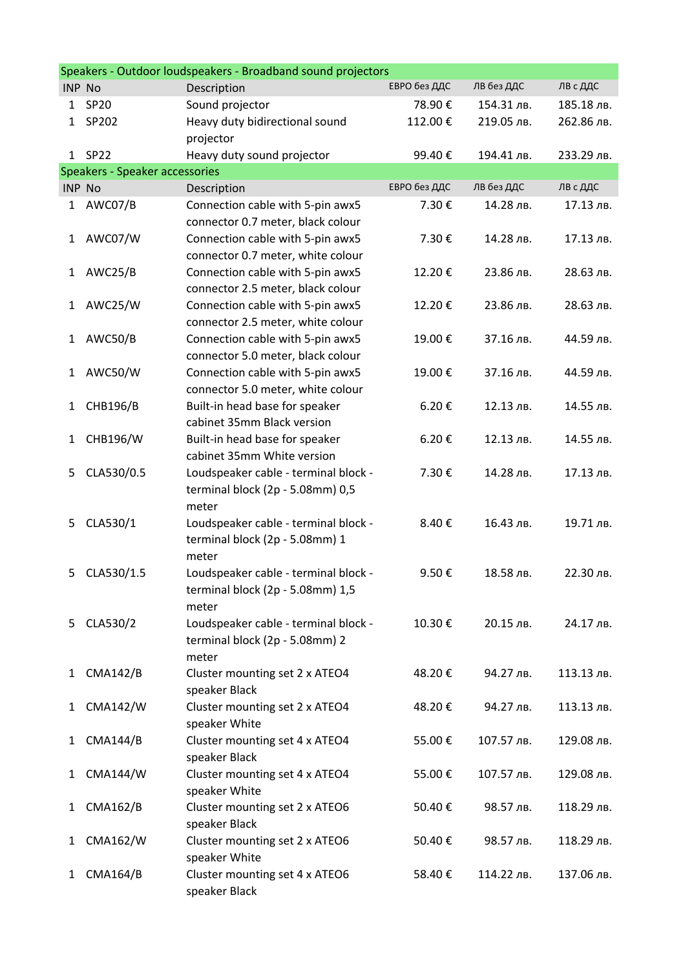|               | Speakers - Outdoor loudspeakers - Broadband sound projectors |                                                              |              |            |            |  |  |  |
|---------------|--------------------------------------------------------------|--------------------------------------------------------------|--------------|------------|------------|--|--|--|
| <b>INP No</b> |                                                              | Description                                                  | ЕВРО без ДДС | ЛВ без ДДС | ЛВ с ДДС   |  |  |  |
| 1             | <b>SP20</b>                                                  | Sound projector                                              | 78.90€       | 154.31 лв. | 185.18 лв. |  |  |  |
| $\mathbf 1$   | SP202                                                        | Heavy duty bidirectional sound                               | 112.00€      | 219.05 лв. | 262.86 лв. |  |  |  |
|               |                                                              | projector                                                    |              |            |            |  |  |  |
|               | 1 SP22                                                       | Heavy duty sound projector                                   | 99.40€       | 194.41 лв. | 233.29 лв. |  |  |  |
|               | Speakers - Speaker accessories                               |                                                              |              |            |            |  |  |  |
| <b>INP No</b> |                                                              | Description                                                  | ЕВРО без ДДС | ЛВ без ДДС | ЛВ с ДДС   |  |  |  |
| 1             | AWC07/B                                                      | Connection cable with 5-pin awx5                             | 7.30€        | 14.28 лв.  | 17.13 лв.  |  |  |  |
|               |                                                              | connector 0.7 meter, black colour                            |              |            |            |  |  |  |
| 1             | AWC07/W                                                      | Connection cable with 5-pin awx5                             | 7.30€        | 14.28 лв.  | 17.13 лв.  |  |  |  |
|               |                                                              | connector 0.7 meter, white colour                            |              |            |            |  |  |  |
| 1             | AWC25/B                                                      | Connection cable with 5-pin awx5                             | 12.20€       | 23.86 лв.  | 28.63 лв.  |  |  |  |
|               |                                                              | connector 2.5 meter, black colour                            |              |            |            |  |  |  |
| 1             | AWC25/W                                                      | Connection cable with 5-pin awx5                             | 12.20€       | 23.86 лв.  | 28.63 лв.  |  |  |  |
|               |                                                              | connector 2.5 meter, white colour                            |              |            |            |  |  |  |
| 1             | AWC50/B                                                      | Connection cable with 5-pin awx5                             | 19.00€       | 37.16 лв.  | 44.59 лв.  |  |  |  |
|               |                                                              | connector 5.0 meter, black colour                            |              |            |            |  |  |  |
| 1             | AWC50/W                                                      | Connection cable with 5-pin awx5                             | 19.00€       | 37.16 лв.  | 44.59 лв.  |  |  |  |
|               |                                                              | connector 5.0 meter, white colour                            |              |            |            |  |  |  |
| 1             | <b>CHB196/B</b>                                              | Built-in head base for speaker<br>cabinet 35mm Black version | 6.20€        | 12.13 лв.  | 14.55 лв.  |  |  |  |
|               | CHB196/W                                                     |                                                              |              | 12.13 лв.  | 14.55 лв.  |  |  |  |
| 1             |                                                              | Built-in head base for speaker<br>cabinet 35mm White version | 6.20€        |            |            |  |  |  |
| 5             | CLA530/0.5                                                   | Loudspeaker cable - terminal block -                         | 7.30€        | 14.28 лв.  | 17.13 лв.  |  |  |  |
|               |                                                              | terminal block (2p - 5.08mm) 0,5                             |              |            |            |  |  |  |
|               |                                                              | meter                                                        |              |            |            |  |  |  |
| 5             | CLA530/1                                                     | Loudspeaker cable - terminal block -                         | 8.40€        | 16.43 лв.  | 19.71 лв.  |  |  |  |
|               |                                                              | terminal block (2p - 5.08mm) 1                               |              |            |            |  |  |  |
|               |                                                              | meter                                                        |              |            |            |  |  |  |
| 5             | CLA530/1.5                                                   | Loudspeaker cable - terminal block -                         | 9.50€        | 18.58 лв.  | 22.30 лв.  |  |  |  |
|               |                                                              | terminal block (2p - 5.08mm) 1,5                             |              |            |            |  |  |  |
|               |                                                              | meter                                                        |              |            |            |  |  |  |
| 5             | CLA530/2                                                     | Loudspeaker cable - terminal block -                         | 10.30€       | 20.15 лв.  | 24.17 лв.  |  |  |  |
|               |                                                              | terminal block (2p - 5.08mm) 2                               |              |            |            |  |  |  |
|               |                                                              | meter                                                        |              |            |            |  |  |  |
| 1             | <b>CMA142/B</b>                                              | Cluster mounting set 2 x ATEO4                               | 48.20€       | 94.27 лв.  | 113.13 лв. |  |  |  |
|               |                                                              | speaker Black                                                |              |            |            |  |  |  |
| 1             | <b>CMA142/W</b>                                              | Cluster mounting set 2 x ATEO4                               | 48.20€       | 94.27 лв.  | 113.13 лв. |  |  |  |
|               |                                                              | speaker White                                                |              |            |            |  |  |  |
| 1             | <b>CMA144/B</b>                                              | Cluster mounting set 4 x ATEO4                               | 55.00€       | 107.57 лв. | 129.08 лв. |  |  |  |
|               |                                                              | speaker Black                                                |              |            |            |  |  |  |
| 1             | <b>CMA144/W</b>                                              | Cluster mounting set 4 x ATEO4                               | 55.00€       | 107.57 лв. | 129.08 лв. |  |  |  |
|               |                                                              | speaker White                                                |              |            |            |  |  |  |
| 1             | <b>CMA162/B</b>                                              | Cluster mounting set 2 x ATEO6                               | 50.40€       | 98.57 лв.  | 118.29 лв. |  |  |  |
|               |                                                              | speaker Black                                                |              |            |            |  |  |  |
| 1             | <b>CMA162/W</b>                                              | Cluster mounting set 2 x ATEO6                               | 50.40€       | 98.57 лв.  | 118.29 лв. |  |  |  |
|               |                                                              | speaker White                                                |              |            |            |  |  |  |
| 1             | <b>CMA164/B</b>                                              | Cluster mounting set 4 x ATEO6                               | 58.40€       | 114.22 лв. | 137.06 лв. |  |  |  |
|               |                                                              | speaker Black                                                |              |            |            |  |  |  |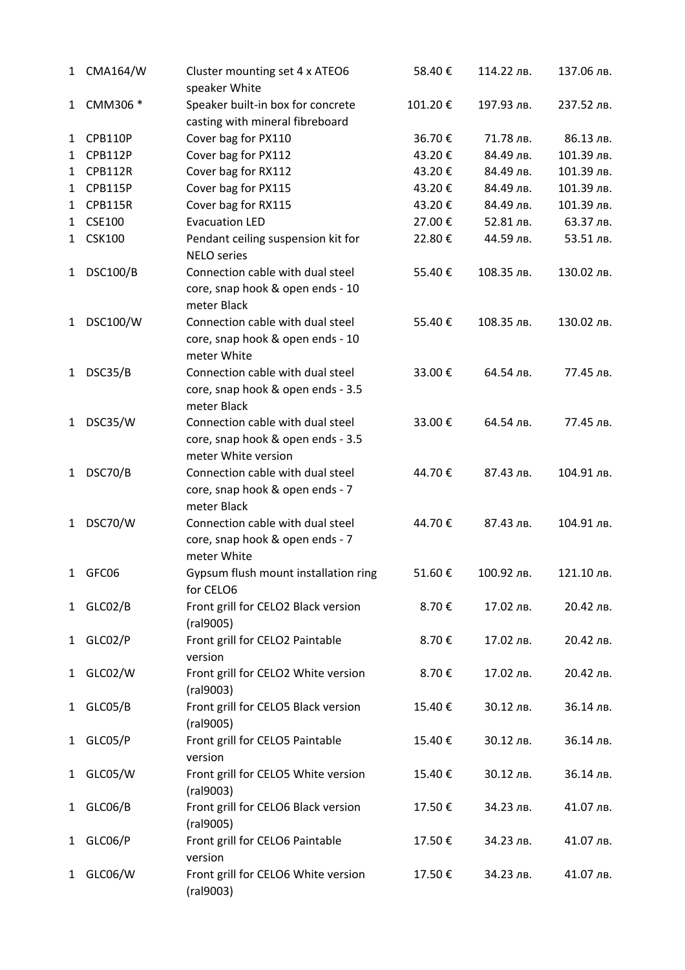| 1            | <b>CMA164/W</b> | Cluster mounting set 4 x ATEO6<br>speaker White                                              | 58.40€  | 114.22 лв. | 137.06 лв. |
|--------------|-----------------|----------------------------------------------------------------------------------------------|---------|------------|------------|
| 1            | CMM306 *        | Speaker built-in box for concrete<br>casting with mineral fibreboard                         | 101.20€ | 197.93 лв. | 237.52 лв. |
| $\mathbf{1}$ | <b>CPB110P</b>  | Cover bag for PX110                                                                          | 36.70€  | 71.78 лв.  | 86.13 лв.  |
| $\mathbf{1}$ | <b>CPB112P</b>  | Cover bag for PX112                                                                          | 43.20€  | 84.49 лв.  | 101.39 лв. |
| 1            | <b>CPB112R</b>  | Cover bag for RX112                                                                          | 43.20€  | 84.49 лв.  | 101.39 лв. |
| 1            | <b>CPB115P</b>  | Cover bag for PX115                                                                          | 43.20€  | 84.49 лв.  | 101.39 лв. |
| 1            | <b>CPB115R</b>  | Cover bag for RX115                                                                          | 43.20€  | 84.49 лв.  | 101.39 лв. |
| 1            | <b>CSE100</b>   | <b>Evacuation LED</b>                                                                        | 27.00€  | 52.81 лв.  | 63.37 лв.  |
| $\mathbf{1}$ | <b>CSK100</b>   | Pendant ceiling suspension kit for<br><b>NELO</b> series                                     | 22.80€  | 44.59 лв.  | 53.51 лв.  |
| 1            | <b>DSC100/B</b> | Connection cable with dual steel<br>core, snap hook & open ends - 10<br>meter Black          | 55.40€  | 108.35 лв. | 130.02 лв. |
| 1            | <b>DSC100/W</b> | Connection cable with dual steel<br>core, snap hook & open ends - 10<br>meter White          | 55.40€  | 108.35 лв. | 130.02 лв. |
| 1            | DSC35/B         | Connection cable with dual steel<br>core, snap hook & open ends - 3.5<br>meter Black         | 33.00€  | 64.54 лв.  | 77.45 лв.  |
| $\mathbf{1}$ | DSC35/W         | Connection cable with dual steel<br>core, snap hook & open ends - 3.5<br>meter White version | 33.00€  | 64.54 лв.  | 77.45 лв.  |
| 1            | DSC70/B         | Connection cable with dual steel<br>core, snap hook & open ends - 7<br>meter Black           | 44.70€  | 87.43 лв.  | 104.91 лв. |
| 1            | DSC70/W         | Connection cable with dual steel<br>core, snap hook & open ends - 7<br>meter White           | 44.70€  | 87.43 лв.  | 104.91 лв. |
| $\mathbf{1}$ | GFC06           | Gypsum flush mount installation ring<br>for CELO6                                            | 51.60€  | 100.92 лв. | 121.10 лв. |
| $\mathbf{1}$ | GLC02/B         | Front grill for CELO2 Black version<br>(ral9005)                                             | 8.70€   | 17.02 лв.  | 20.42 лв.  |
| $\mathbf{1}$ | GLC02/P         | Front grill for CELO2 Paintable<br>version                                                   | 8.70€   | 17.02 лв.  | 20.42 лв.  |
| $\mathbf{1}$ | GLC02/W         | Front grill for CELO2 White version<br>(ral9003)                                             | 8.70€   | 17.02 лв.  | 20.42 лв.  |
| $\mathbf{1}$ | GLC05/B         | Front grill for CELO5 Black version<br>(ral9005)                                             | 15.40€  | 30.12 лв.  | 36.14 лв.  |
| $\mathbf{1}$ | GLC05/P         | Front grill for CELO5 Paintable<br>version                                                   | 15.40€  | 30.12 лв.  | 36.14 лв.  |
| 1            | GLC05/W         | Front grill for CELO5 White version<br>(ral9003)                                             | 15.40€  | 30.12 лв.  | 36.14 лв.  |
| 1            | GLC06/B         | Front grill for CELO6 Black version<br>(ral9005)                                             | 17.50€  | 34.23 лв.  | 41.07 лв.  |
| $\mathbf{1}$ | GLC06/P         | Front grill for CELO6 Paintable<br>version                                                   | 17.50€  | 34.23 лв.  | 41.07 лв.  |
| $\mathbf{1}$ | GLC06/W         | Front grill for CELO6 White version<br>(ral9003)                                             | 17.50€  | 34.23 лв.  | 41.07 лв.  |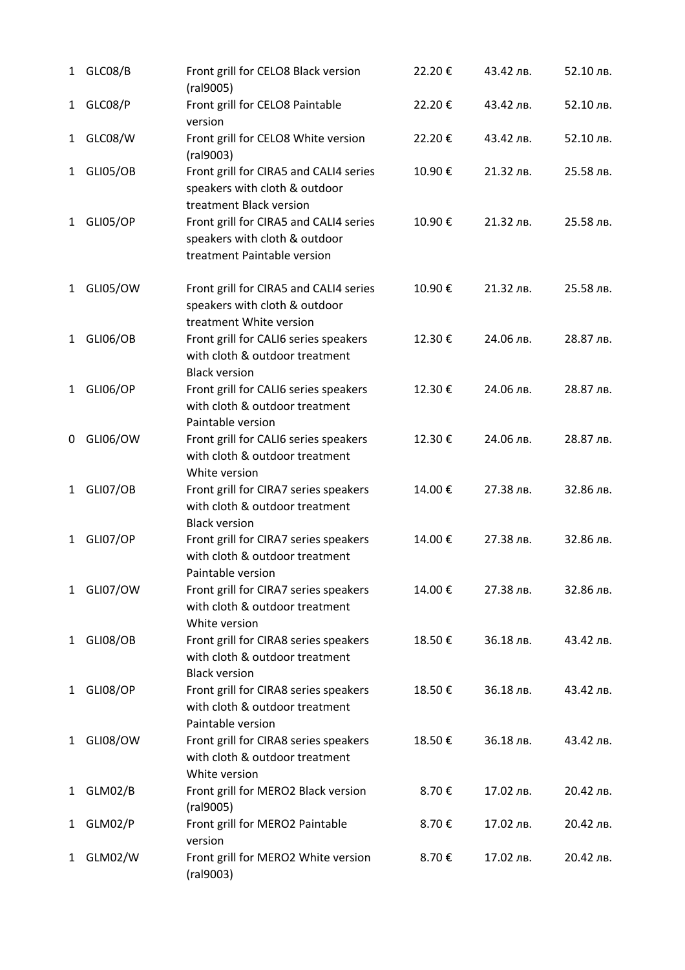| 1            | GLC08/B         | Front grill for CELO8 Black version<br>(ral9005)                                                       | 22.20€ | 43.42 лв. | 52.10 лв. |
|--------------|-----------------|--------------------------------------------------------------------------------------------------------|--------|-----------|-----------|
| $\mathbf{1}$ | GLC08/P         | Front grill for CELO8 Paintable<br>version                                                             | 22.20€ | 43.42 лв. | 52.10 лв. |
| $\mathbf{1}$ | GLC08/W         | Front grill for CELO8 White version<br>(ral9003)                                                       | 22.20€ | 43.42 лв. | 52.10 лв. |
| $\mathbf{1}$ | <b>GLI05/OB</b> | Front grill for CIRA5 and CALI4 series<br>speakers with cloth & outdoor<br>treatment Black version     | 10.90€ | 21.32 лв. | 25.58 лв. |
| 1            | GLI05/OP        | Front grill for CIRA5 and CALI4 series<br>speakers with cloth & outdoor<br>treatment Paintable version | 10.90€ | 21.32 лв. | 25.58 лв. |
| $\mathbf{1}$ | GLI05/OW        | Front grill for CIRA5 and CALI4 series<br>speakers with cloth & outdoor<br>treatment White version     | 10.90€ | 21.32 лв. | 25.58 лв. |
| $\mathbf{1}$ | <b>GLI06/OB</b> | Front grill for CALI6 series speakers<br>with cloth & outdoor treatment<br><b>Black version</b>        | 12.30€ | 24.06 лв. | 28.87 лв. |
| $\mathbf{1}$ | <b>GLI06/OP</b> | Front grill for CALI6 series speakers<br>with cloth & outdoor treatment<br>Paintable version           | 12.30€ | 24.06 лв. | 28.87 лв. |
| 0            | GLI06/OW        | Front grill for CALI6 series speakers<br>with cloth & outdoor treatment<br>White version               | 12.30€ | 24.06 лв. | 28.87 лв. |
| $\mathbf{1}$ | <b>GLI07/OB</b> | Front grill for CIRA7 series speakers<br>with cloth & outdoor treatment<br><b>Black version</b>        | 14.00€ | 27.38 лв. | 32.86 лв. |
| 1            | GLI07/OP        | Front grill for CIRA7 series speakers<br>with cloth & outdoor treatment<br>Paintable version           | 14.00€ | 27.38 лв. | 32.86 лв. |
| $\mathbf{1}$ | GLI07/OW        | Front grill for CIRA7 series speakers<br>with cloth & outdoor treatment<br>White version               | 14.00€ | 27.38 лв. | 32.86 лв. |
| 1            | <b>GLI08/OB</b> | Front grill for CIRA8 series speakers<br>with cloth & outdoor treatment<br><b>Black version</b>        | 18.50€ | 36.18 лв. | 43.42 лв. |
| $\mathbf{1}$ | <b>GLI08/OP</b> | Front grill for CIRA8 series speakers<br>with cloth & outdoor treatment<br>Paintable version           | 18.50€ | 36.18 лв. | 43.42 лв. |
| 1            | GLI08/OW        | Front grill for CIRA8 series speakers<br>with cloth & outdoor treatment<br>White version               | 18.50€ | 36.18 лв. | 43.42 лв. |
| $\mathbf{1}$ | GLM02/B         | Front grill for MERO2 Black version<br>(ral9005)                                                       | 8.70€  | 17.02 лв. | 20.42 лв. |
| 1            | GLM02/P         | Front grill for MERO2 Paintable<br>version                                                             | 8.70€  | 17.02 лв. | 20.42 лв. |
| 1            | GLM02/W         | Front grill for MERO2 White version<br>(ral9003)                                                       | 8.70€  | 17.02 лв. | 20.42 лв. |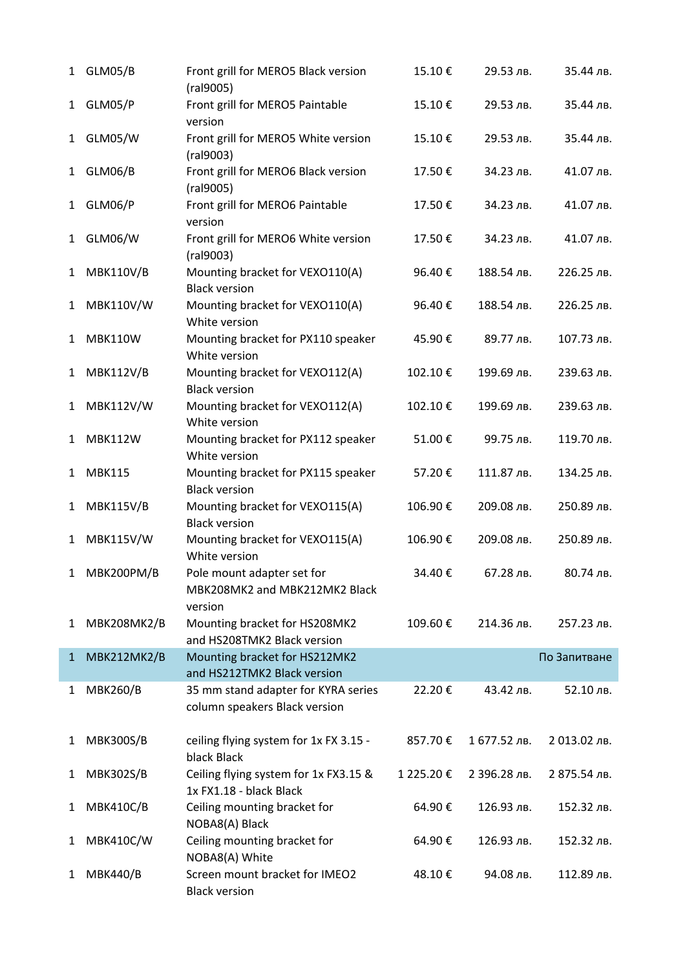| 1            | GLM05/B            | Front grill for MERO5 Black version<br>(ral9005)                       | 15.10€    | 29.53 лв.    | 35.44 лв.    |
|--------------|--------------------|------------------------------------------------------------------------|-----------|--------------|--------------|
| 1            | GLM05/P            | Front grill for MERO5 Paintable<br>version                             | 15.10€    | 29.53 лв.    | 35.44 лв.    |
| 1            | GLM05/W            | Front grill for MERO5 White version<br>(ral9003)                       | 15.10€    | 29.53 лв.    | 35.44 лв.    |
| 1            | GLM06/B            | Front grill for MERO6 Black version<br>(ral9005)                       | 17.50€    | 34.23 лв.    | 41.07 лв.    |
| 1            | GLM06/P            | Front grill for MERO6 Paintable<br>version                             | 17.50€    | 34.23 лв.    | 41.07 лв.    |
| 1            | GLM06/W            | Front grill for MERO6 White version<br>(ral9003)                       | 17.50€    | 34.23 лв.    | 41.07 лв.    |
| 1            | <b>MBK110V/B</b>   | Mounting bracket for VEXO110(A)<br><b>Black version</b>                | 96.40€    | 188.54 лв.   | 226.25 лв.   |
| 1            | <b>MBK110V/W</b>   | Mounting bracket for VEXO110(A)<br>White version                       | 96.40€    | 188.54 лв.   | 226.25 лв.   |
| 1            | <b>MBK110W</b>     | Mounting bracket for PX110 speaker<br>White version                    | 45.90€    | 89.77 лв.    | 107.73 лв.   |
| 1            | <b>MBK112V/B</b>   | Mounting bracket for VEXO112(A)<br><b>Black version</b>                | 102.10€   | 199.69 лв.   | 239.63 лв.   |
| 1            | <b>MBK112V/W</b>   | Mounting bracket for VEXO112(A)<br>White version                       | 102.10€   | 199.69 лв.   | 239.63 лв.   |
| 1            | <b>MBK112W</b>     | Mounting bracket for PX112 speaker<br>White version                    | 51.00€    | 99.75 лв.    | 119.70 лв.   |
| 1            | <b>MBK115</b>      | Mounting bracket for PX115 speaker<br><b>Black version</b>             | 57.20€    | 111.87 лв.   | 134.25 лв.   |
| 1            | <b>MBK115V/B</b>   | Mounting bracket for VEXO115(A)<br><b>Black version</b>                | 106.90€   | 209.08 лв.   | 250.89 лв.   |
| 1            | <b>MBK115V/W</b>   | Mounting bracket for VEXO115(A)<br>White version                       | 106.90€   | 209.08 лв.   | 250.89 лв.   |
|              | MBK200PM/B         | Pole mount adapter set for<br>MBK208MK2 and MBK212MK2 Black<br>version | 34.40€    | 67.28 лв.    | 80.74 лв.    |
| 1            | <b>MBK208MK2/B</b> | Mounting bracket for HS208MK2<br>and HS208TMK2 Black version           | 109.60€   | 214.36 лв.   | 257.23 лв.   |
| $\mathbf{1}$ | MBK212MK2/B        | Mounting bracket for HS212MK2<br>and HS212TMK2 Black version           |           |              | По Запитване |
| 1            | <b>MBK260/B</b>    | 35 mm stand adapter for KYRA series<br>column speakers Black version   | 22.20€    | 43.42 лв.    | 52.10 лв.    |
| 1            | <b>MBK300S/B</b>   | ceiling flying system for 1x FX 3.15 -<br>black Black                  | 857.70€   | 1 677.52 лв. | 2 013.02 лв. |
| 1            | <b>MBK302S/B</b>   | Ceiling flying system for 1x FX3.15 &<br>1x FX1.18 - black Black       | 1 225.20€ | 2 396.28 лв. | 2 875.54 лв. |
| 1            | <b>MBK410C/B</b>   | Ceiling mounting bracket for<br>NOBA8(A) Black                         | 64.90€    | 126.93 лв.   | 152.32 лв.   |
| 1            | <b>MBK410C/W</b>   | Ceiling mounting bracket for<br>NOBA8(A) White                         | 64.90€    | 126.93 лв.   | 152.32 лв.   |
| 1            | <b>MBK440/B</b>    | Screen mount bracket for IMEO2<br><b>Black version</b>                 | 48.10€    | 94.08 лв.    | 112.89 лв.   |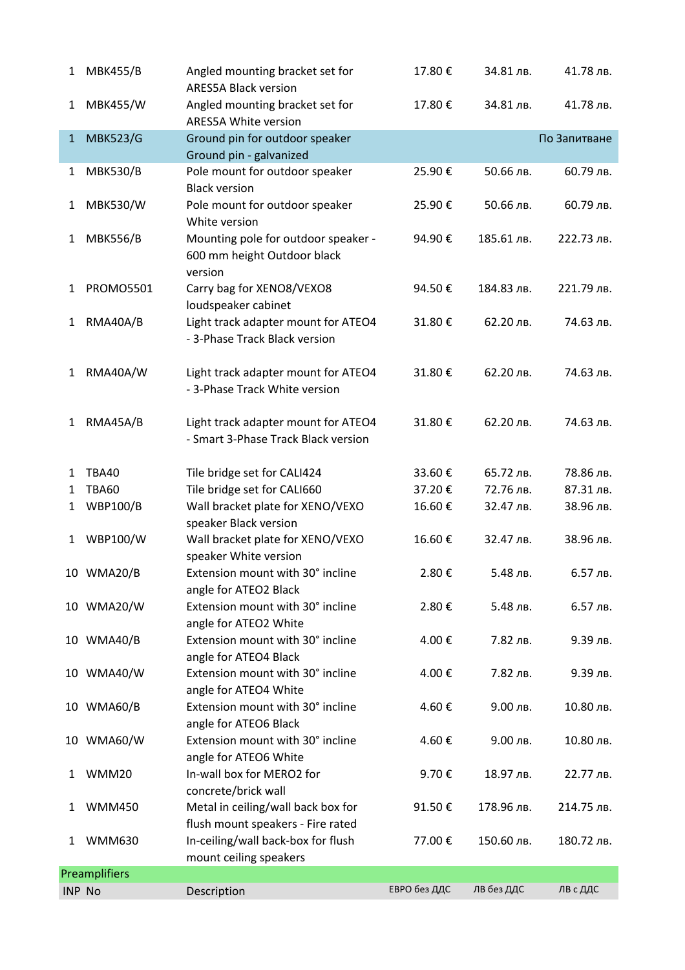| 1             | <b>MBK455/B</b>      | Angled mounting bracket set for<br><b>ARES5A Black version</b>                | 17.80€       | 34.81 лв.  | 41.78 лв.    |
|---------------|----------------------|-------------------------------------------------------------------------------|--------------|------------|--------------|
| 1             | <b>MBK455/W</b>      | Angled mounting bracket set for<br><b>ARES5A White version</b>                | 17.80€       | 34.81 лв.  | 41.78 лв.    |
| $\mathbf{1}$  | <b>MBK523/G</b>      | Ground pin for outdoor speaker<br>Ground pin - galvanized                     |              |            | По Запитване |
| 1             | <b>MBK530/B</b>      | Pole mount for outdoor speaker<br><b>Black version</b>                        | 25.90€       | 50.66 лв.  | 60.79 лв.    |
| 1             | <b>MBK530/W</b>      | Pole mount for outdoor speaker<br>White version                               | 25.90€       | 50.66 лв.  | 60.79 лв.    |
| 1             | <b>MBK556/B</b>      | Mounting pole for outdoor speaker -<br>600 mm height Outdoor black<br>version | 94.90€       | 185.61 лв. | 222.73 лв.   |
| 1             | <b>PROMO5501</b>     | Carry bag for XENO8/VEXO8<br>loudspeaker cabinet                              | 94.50€       | 184.83 лв. | 221.79 лв.   |
| 1             | RMA40A/B             | Light track adapter mount for ATEO4<br>- 3-Phase Track Black version          | 31.80€       | 62.20 лв.  | 74.63 лв.    |
| 1             | RMA40A/W             | Light track adapter mount for ATEO4<br>- 3-Phase Track White version          | 31.80€       | 62.20 лв.  | 74.63 лв.    |
| 1             | RMA45A/B             | Light track adapter mount for ATEO4<br>- Smart 3-Phase Track Black version    | 31.80€       | 62.20 лв.  | 74.63 лв.    |
| 1             | <b>TBA40</b>         | Tile bridge set for CALI424                                                   | 33.60€       | 65.72 лв.  | 78.86 лв.    |
| 1             | <b>TBA60</b>         | Tile bridge set for CALI660                                                   | 37.20€       | 72.76 лв.  | 87.31 лв.    |
| 1             | <b>WBP100/B</b>      | Wall bracket plate for XENO/VEXO<br>speaker Black version                     | 16.60€       | 32.47 лв.  | 38.96 лв.    |
| 1             | WBP100/W             | Wall bracket plate for XENO/VEXO<br>speaker White version                     | 16.60€       | 32.47 лв.  | 38.96 лв.    |
|               | 10 WMA20/B           | Extension mount with 30° incline<br>angle for ATEO2 Black                     | 2.80€        | 5.48 лв.   | 6.57 лв.     |
|               | 10 WMA20/W           | Extension mount with 30° incline<br>angle for ATEO2 White                     | 2.80€        | 5.48 лв.   | 6.57 лв.     |
|               | 10 WMA40/B           | Extension mount with 30° incline<br>angle for ATEO4 Black                     | 4.00€        | 7.82 лв.   | 9.39 лв.     |
|               | 10 WMA40/W           | Extension mount with 30° incline<br>angle for ATEO4 White                     | 4.00€        | 7.82 лв.   | 9.39 лв.     |
|               | 10 WMA60/B           | Extension mount with 30° incline<br>angle for ATEO6 Black                     | 4.60€        | 9.00 лв.   | 10.80 лв.    |
|               | 10 WMA60/W           | Extension mount with 30° incline<br>angle for ATEO6 White                     | 4.60€        | 9.00 лв.   | 10.80 лв.    |
| 1             | WMM20                | In-wall box for MERO2 for<br>concrete/brick wall                              | 9.70€        | 18.97 лв.  | 22.77 лв.    |
| 1             | <b>WMM450</b>        | Metal in ceiling/wall back box for<br>flush mount speakers - Fire rated       | 91.50€       | 178.96 лв. | 214.75 лв.   |
| 1             | <b>WMM630</b>        | In-ceiling/wall back-box for flush<br>mount ceiling speakers                  | 77.00€       | 150.60 лв. | 180.72 лв.   |
|               | <b>Preamplifiers</b> |                                                                               |              |            |              |
| <b>INP No</b> |                      | Description                                                                   | ЕВРО без ДДС | ЛВ без ДДС | ЛВ с ДДС     |
|               |                      |                                                                               |              |            |              |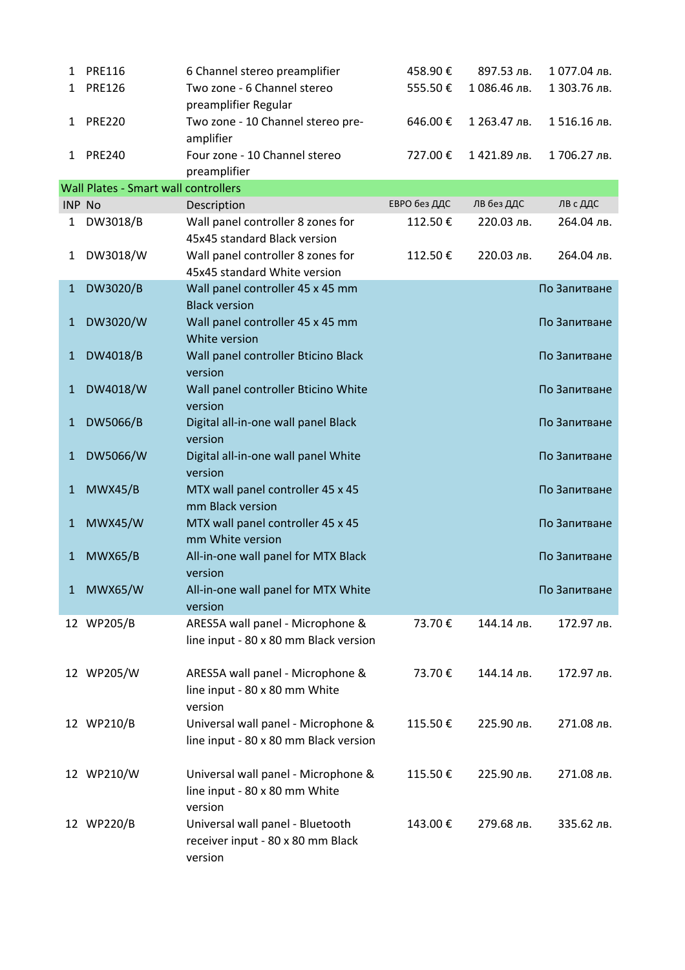| 1             | <b>PRE116</b>                               | 6 Channel stereo preamplifier                         | 458.90€      | 897.53 лв.   | 1077.04 лв.  |
|---------------|---------------------------------------------|-------------------------------------------------------|--------------|--------------|--------------|
| 1             | <b>PRE126</b>                               | Two zone - 6 Channel stereo                           | 555.50€      | 1086.46 лв.  | 1 303.76 лв. |
|               |                                             | preamplifier Regular                                  |              |              |              |
| 1             | <b>PRE220</b>                               | Two zone - 10 Channel stereo pre-                     | 646.00€      | 1 263.47 лв. | 1516.16 лв.  |
|               |                                             | amplifier                                             |              |              |              |
| 1             | <b>PRE240</b>                               | Four zone - 10 Channel stereo                         | 727.00€      | 1421.89 лв.  | 1706.27 лв.  |
|               |                                             | preamplifier                                          |              |              |              |
|               | <b>Wall Plates - Smart wall controllers</b> |                                                       |              |              |              |
| <b>INP No</b> |                                             | Description                                           | ЕВРО без ДДС | ЛВ без ДДС   | ЛВ с ДДС     |
| 1             | DW3018/B                                    | Wall panel controller 8 zones for                     | 112.50€      | 220.03 лв.   | 264.04 лв.   |
|               |                                             | 45x45 standard Black version                          |              |              |              |
| 1             | DW3018/W                                    | Wall panel controller 8 zones for                     | 112.50€      | 220.03 лв.   | 264.04 лв.   |
|               |                                             | 45x45 standard White version                          |              |              |              |
| $\mathbf{1}$  | DW3020/B                                    | Wall panel controller 45 x 45 mm                      |              |              | По Запитване |
|               |                                             | <b>Black version</b>                                  |              |              |              |
| 1             | DW3020/W                                    | Wall panel controller 45 x 45 mm                      |              |              | По Запитване |
|               |                                             | White version                                         |              |              |              |
| $\mathbf{1}$  | DW4018/B                                    | Wall panel controller Bticino Black                   |              |              | По Запитване |
|               |                                             | version                                               |              |              |              |
| 1             | DW4018/W                                    | Wall panel controller Bticino White                   |              |              | По Запитване |
|               |                                             | version                                               |              |              |              |
| $\mathbf{1}$  | DW5066/B                                    | Digital all-in-one wall panel Black                   |              |              | По Запитване |
|               |                                             | version                                               |              |              |              |
| $\mathbf{1}$  | DW5066/W                                    | Digital all-in-one wall panel White                   |              |              | По Запитване |
|               |                                             | version                                               |              |              | По Запитване |
| 1             | MWX45/B                                     | MTX wall panel controller 45 x 45<br>mm Black version |              |              |              |
| 1             | <b>MWX45/W</b>                              | MTX wall panel controller 45 x 45                     |              |              | По Запитване |
|               |                                             | mm White version                                      |              |              |              |
| $\mathbf{1}$  | <b>MWX65/B</b>                              | All-in-one wall panel for MTX Black                   |              |              | По Запитване |
|               |                                             | version                                               |              |              |              |
| 1             | <b>MWX65/W</b>                              | All-in-one wall panel for MTX White                   |              |              | По Запитване |
|               |                                             | version                                               |              |              |              |
|               | 12 WP205/B                                  | ARES5A wall panel - Microphone &                      | 73.70€       | 144.14 лв.   | 172.97 лв.   |
|               |                                             | line input - 80 x 80 mm Black version                 |              |              |              |
|               |                                             |                                                       |              |              |              |
|               | 12 WP205/W                                  | ARES5A wall panel - Microphone &                      | 73.70€       | 144.14 лв.   | 172.97 лв.   |
|               |                                             | line input - 80 x 80 mm White                         |              |              |              |
|               |                                             | version                                               |              |              |              |
|               | 12 WP210/B                                  | Universal wall panel - Microphone &                   | 115.50€      | 225.90 лв.   | 271.08 лв.   |
|               |                                             | line input - 80 x 80 mm Black version                 |              |              |              |
|               |                                             |                                                       |              |              |              |
|               | 12 WP210/W                                  | Universal wall panel - Microphone &                   | 115.50€      | 225.90 лв.   | 271.08 лв.   |
|               |                                             | line input - 80 x 80 mm White                         |              |              |              |
|               |                                             | version                                               |              |              |              |
|               | 12 WP220/B                                  | Universal wall panel - Bluetooth                      | 143.00€      | 279.68 лв.   | 335.62 лв.   |
|               |                                             | receiver input - 80 x 80 mm Black                     |              |              |              |
|               |                                             | version                                               |              |              |              |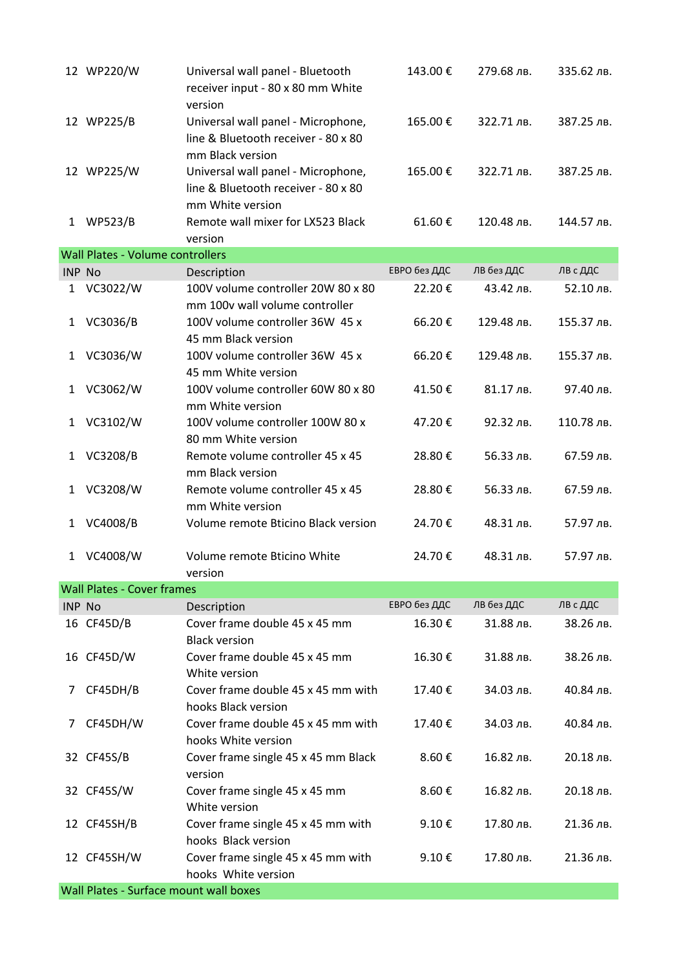|               | 12 WP220/W                             | Universal wall panel - Bluetooth<br>receiver input - 80 x 80 mm White<br>version              | 143.00€      | 279.68 лв. | 335.62 лв. |
|---------------|----------------------------------------|-----------------------------------------------------------------------------------------------|--------------|------------|------------|
|               | 12 WP225/B                             | Universal wall panel - Microphone,<br>line & Bluetooth receiver - 80 x 80<br>mm Black version | 165.00€      | 322.71 лв. | 387.25 лв. |
|               | 12 WP225/W                             | Universal wall panel - Microphone,<br>line & Bluetooth receiver - 80 x 80<br>mm White version | 165.00€      | 322.71 лв. | 387.25 лв. |
| 1             | <b>WP523/B</b>                         | Remote wall mixer for LX523 Black<br>version                                                  | 61.60€       | 120.48 лв. | 144.57 лв. |
|               | Wall Plates - Volume controllers       |                                                                                               |              |            |            |
| <b>INP No</b> |                                        | Description                                                                                   | ЕВРО без ДДС | ЛВ без ДДС | ЛВ с ДДС   |
| 1             | VC3022/W                               | 100V volume controller 20W 80 x 80<br>mm 100v wall volume controller                          | 22.20€       | 43.42 лв.  | 52.10 лв.  |
| 1             | VC3036/B                               | 100V volume controller 36W 45 x<br>45 mm Black version                                        | 66.20€       | 129.48 лв. | 155.37 лв. |
| 1             | VC3036/W                               | 100V volume controller 36W 45 x<br>45 mm White version                                        | 66.20€       | 129.48 лв. | 155.37 лв. |
| 1             | VC3062/W                               | 100V volume controller 60W 80 x 80<br>mm White version                                        | 41.50€       | 81.17 лв.  | 97.40 лв.  |
| 1             | VC3102/W                               | 100V volume controller 100W 80 x<br>80 mm White version                                       | 47.20€       | 92.32 лв.  | 110.78 лв. |
| 1             | VC3208/B                               | Remote volume controller 45 x 45<br>mm Black version                                          | 28.80€       | 56.33 лв.  | 67.59 лв.  |
| $\mathbf{1}$  | VC3208/W                               | Remote volume controller 45 x 45<br>mm White version                                          | 28.80€       | 56.33 лв.  | 67.59 лв.  |
| 1             | VC4008/B                               | Volume remote Bticino Black version                                                           | 24.70€       | 48.31 лв.  | 57.97 лв.  |
| 1             | VC4008/W                               | Volume remote Bticino White<br>version                                                        | 24.70€       | 48.31 лв.  | 57.97 лв.  |
|               | <b>Wall Plates - Cover frames</b>      |                                                                                               |              |            |            |
| <b>INP No</b> |                                        | Description                                                                                   | ЕВРО без ДДС | ЛВ без ДДС | ЛВ с ДДС   |
|               | 16 CF45D/B                             | Cover frame double 45 x 45 mm<br><b>Black version</b>                                         | 16.30€       | 31.88 лв.  | 38.26 лв.  |
|               | 16 CF45D/W                             | Cover frame double 45 x 45 mm<br>White version                                                | 16.30€       | 31.88 лв.  | 38.26 лв.  |
| 7             | CF45DH/B                               | Cover frame double 45 x 45 mm with<br>hooks Black version                                     | 17.40€       | 34.03 лв.  | 40.84 лв.  |
| 7             | CF45DH/W                               | Cover frame double 45 x 45 mm with<br>hooks White version                                     | 17.40€       | 34.03 лв.  | 40.84 лв.  |
|               | 32 CF45S/B                             | Cover frame single 45 x 45 mm Black<br>version                                                | 8.60€        | 16.82 лв.  | 20.18 лв.  |
|               | 32 CF45S/W                             | Cover frame single 45 x 45 mm<br>White version                                                | 8.60€        | 16.82 лв.  | 20.18 лв.  |
|               | 12 CF45SH/B                            | Cover frame single 45 x 45 mm with<br>hooks Black version                                     | 9.10€        | 17.80 лв.  | 21.36 лв.  |
|               | 12 CF45SH/W                            | Cover frame single 45 x 45 mm with<br>hooks White version                                     | 9.10€        | 17.80 лв.  | 21.36 лв.  |
|               | Wall Plates - Surface mount wall boxes |                                                                                               |              |            |            |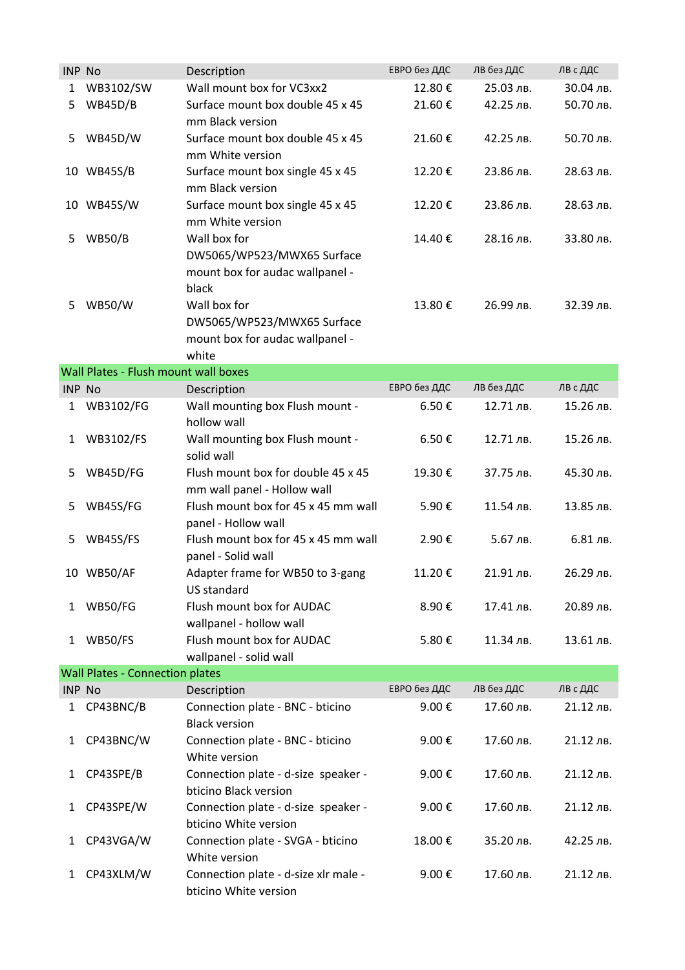| <b>INP No</b> |                                        | Description                                                                            | ЕВРО без ДДС | ЛВ без ДДС | ЛВ с ДДС  |  |  |
|---------------|----------------------------------------|----------------------------------------------------------------------------------------|--------------|------------|-----------|--|--|
| 1             | WB3102/SW                              | Wall mount box for VC3xx2                                                              | 12.80€       | 25.03 лв.  | 30.04 лв. |  |  |
| 5             | <b>WB45D/B</b>                         | Surface mount box double 45 x 45<br>mm Black version                                   | 21.60€       | 42.25 лв.  | 50.70 лв. |  |  |
| 5             | WB45D/W                                | Surface mount box double 45 x 45<br>mm White version                                   | 21.60€       | 42.25 лв.  | 50.70 лв. |  |  |
|               | 10 WB45S/B                             | Surface mount box single 45 x 45<br>mm Black version                                   | 12.20€       | 23.86 лв.  | 28.63 лв. |  |  |
| 10            | WB45S/W                                | Surface mount box single 45 x 45<br>mm White version                                   | 12.20€       | 23.86 лв.  | 28.63 лв. |  |  |
| 5             | <b>WB50/B</b>                          | Wall box for<br>DW5065/WP523/MWX65 Surface<br>mount box for audac wallpanel -<br>black | 14.40€       | 28.16 лв.  | 33.80 лв. |  |  |
| 5             | <b>WB50/W</b>                          | Wall box for<br>DW5065/WP523/MWX65 Surface<br>mount box for audac wallpanel -<br>white | 13.80€       | 26.99 лв.  | 32.39 лв. |  |  |
|               | Wall Plates - Flush mount wall boxes   |                                                                                        |              |            |           |  |  |
| <b>INP No</b> |                                        | Description                                                                            | ЕВРО без ДДС | ЛВ без ДДС | ЛВ с ДДС  |  |  |
| 1             | WB3102/FG                              | Wall mounting box Flush mount -<br>hollow wall                                         | 6.50€        | 12.71 лв.  | 15.26 лв. |  |  |
| 1             | WB3102/FS                              | Wall mounting box Flush mount -<br>solid wall                                          | 6.50€        | 12.71 лв.  | 15.26 лв. |  |  |
| 5             | WB45D/FG                               | Flush mount box for double 45 x 45<br>mm wall panel - Hollow wall                      | 19.30€       | 37.75 лв.  | 45.30 лв. |  |  |
| 5             | WB45S/FG                               | Flush mount box for 45 x 45 mm wall<br>panel - Hollow wall                             | 5.90€        | 11.54 лв.  | 13.85 лв. |  |  |
| 5             | WB45S/FS                               | Flush mount box for 45 x 45 mm wall<br>panel - Solid wall                              | 2.90€        | 5.67 лв.   | 6.81 лв.  |  |  |
|               | 10 WB50/AF                             | Adapter frame for WB50 to 3-gang<br>US standard                                        | 11.20€       | 21.91 лв.  | 26.29 лв. |  |  |
| 1             | WB50/FG                                | Flush mount box for AUDAC<br>wallpanel - hollow wall                                   | 8.90€        | 17.41 лв.  | 20.89 лв. |  |  |
| 1             | WB50/FS                                | Flush mount box for AUDAC<br>wallpanel - solid wall                                    | 5.80€        | 11.34 лв.  | 13.61 лв. |  |  |
|               | <b>Wall Plates - Connection plates</b> |                                                                                        |              |            |           |  |  |
| INP No        |                                        | Description                                                                            | ЕВРО без ДДС | ЛВ без ДДС | ЛВ с ДДС  |  |  |
| 1             | CP43BNC/B                              | Connection plate - BNC - bticino<br><b>Black version</b>                               | 9.00€        | 17.60 лв.  | 21.12 лв. |  |  |
| 1             | CP43BNC/W                              | Connection plate - BNC - bticino<br>White version                                      | 9.00€        | 17.60 лв.  | 21.12 лв. |  |  |
| 1             | CP43SPE/B                              | Connection plate - d-size speaker -<br>bticino Black version                           | 9.00€        | 17.60 лв.  | 21.12 лв. |  |  |
| 1             | CP43SPE/W                              | Connection plate - d-size speaker -<br>bticino White version                           | 9.00€        | 17.60 лв.  | 21.12 лв. |  |  |
| 1             | CP43VGA/W                              | Connection plate - SVGA - bticino<br>White version                                     | 18.00€       | 35.20 лв.  | 42.25 лв. |  |  |
| $\mathbf{1}$  | CP43XLM/W                              | Connection plate - d-size xlr male -<br>bticino White version                          | 9.00€        | 17.60 лв.  | 21.12 лв. |  |  |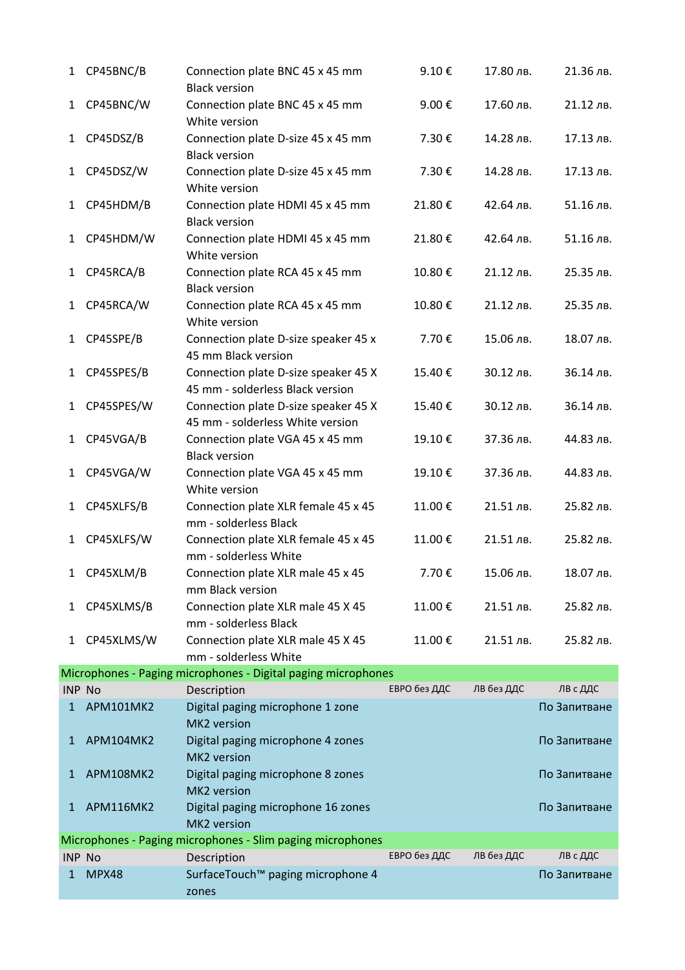| $\mathbf{1}$  | CP45BNC/B                                                  | Connection plate BNC 45 x 45 mm<br><b>Black version</b>                  | 9.10€        | 17.80 лв.  | 21.36 лв.    |  |
|---------------|------------------------------------------------------------|--------------------------------------------------------------------------|--------------|------------|--------------|--|
| $\mathbf{1}$  | CP45BNC/W                                                  | Connection plate BNC 45 x 45 mm<br>White version                         | 9.00€        | 17.60 лв.  | 21.12 лв.    |  |
| 1             | CP45DSZ/B                                                  | Connection plate D-size 45 x 45 mm<br><b>Black version</b>               | 7.30€        | 14.28 лв.  | 17.13 лв.    |  |
| 1             | CP45DSZ/W                                                  | Connection plate D-size 45 x 45 mm<br>White version                      | 7.30€        | 14.28 лв.  | 17.13 лв.    |  |
| $\mathbf{1}$  | CP45HDM/B                                                  | Connection plate HDMI 45 x 45 mm<br><b>Black version</b>                 | 21.80€       | 42.64 лв.  | 51.16 лв.    |  |
| 1             | CP45HDM/W                                                  | Connection plate HDMI 45 x 45 mm<br>White version                        | 21.80€       | 42.64 лв.  | 51.16 лв.    |  |
| $\mathbf{1}$  | CP45RCA/B                                                  | Connection plate RCA 45 x 45 mm<br><b>Black version</b>                  | 10.80€       | 21.12 лв.  | 25.35 лв.    |  |
| 1             | CP45RCA/W                                                  | Connection plate RCA 45 x 45 mm<br>White version                         | 10.80€       | 21.12 лв.  | 25.35 лв.    |  |
| 1             | CP45SPE/B                                                  | Connection plate D-size speaker 45 x<br>45 mm Black version              | 7.70€        | 15.06 лв.  | 18.07 лв.    |  |
| $\mathbf{1}$  | CP45SPES/B                                                 | Connection plate D-size speaker 45 X<br>45 mm - solderless Black version | 15.40€       | 30.12 лв.  | 36.14 лв.    |  |
| 1             | CP45SPES/W                                                 | Connection plate D-size speaker 45 X<br>45 mm - solderless White version | 15.40€       | 30.12 лв.  | 36.14 лв.    |  |
| 1             | CP45VGA/B                                                  | Connection plate VGA 45 x 45 mm<br><b>Black version</b>                  | 19.10€       | 37.36 лв.  | 44.83 лв.    |  |
| 1             | CP45VGA/W                                                  | Connection plate VGA 45 x 45 mm<br>White version                         | 19.10€       | 37.36 лв.  | 44.83 лв.    |  |
| 1             | CP45XLFS/B                                                 | Connection plate XLR female 45 x 45<br>mm - solderless Black             | 11.00€       | 21.51 лв.  | 25.82 лв.    |  |
| 1             | CP45XLFS/W                                                 | Connection plate XLR female 45 x 45<br>mm - solderless White             | 11.00€       | 21.51 лв.  | 25.82 лв.    |  |
| 1             | CP45XLM/B                                                  | Connection plate XLR male 45 x 45<br>mm Black version                    | 7.70€        | 15.06 лв.  | 18.07 лв.    |  |
| 1             | CP45XLMS/B                                                 | Connection plate XLR male 45 X 45<br>mm - solderless Black               | 11.00€       | 21.51 лв.  | 25.82 лв.    |  |
| 1             | CP45XLMS/W                                                 | Connection plate XLR male 45 X 45<br>mm - solderless White               | 11.00€       | 21.51 лв.  | 25.82 лв.    |  |
|               |                                                            | Microphones - Paging microphones - Digital paging microphones            |              |            |              |  |
| <b>INP No</b> |                                                            | Description                                                              | ЕВРО без ДДС | ЛВ без ДДС | ЛВ с ДДС     |  |
| 1             | APM101MK2                                                  | Digital paging microphone 1 zone<br>MK2 version                          |              |            | По Запитване |  |
| $\mathbf{1}$  | APM104MK2                                                  | Digital paging microphone 4 zones<br>MK2 version                         |              |            | По Запитване |  |
| $\mathbf{1}$  | APM108MK2                                                  | Digital paging microphone 8 zones<br>MK2 version                         |              |            | По Запитване |  |
| $\mathbf{1}$  | APM116MK2                                                  | Digital paging microphone 16 zones<br>MK2 version                        |              |            | По Запитване |  |
|               | Microphones - Paging microphones - Slim paging microphones |                                                                          |              |            |              |  |
| <b>INP No</b> |                                                            | Description                                                              | ЕВРО без ДДС | ЛВ без ДДС | ЛВ с ДДС     |  |
| 1             | MPX48                                                      | SurfaceTouch™ paging microphone 4<br>zones                               |              |            | По Запитване |  |
|               |                                                            |                                                                          |              |            |              |  |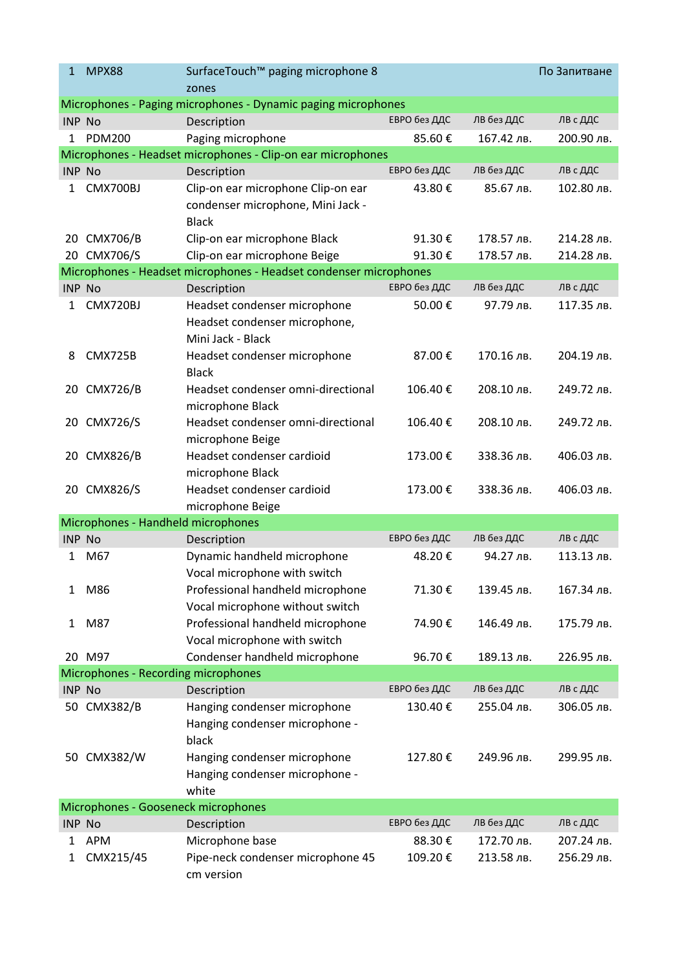| $\mathbf{1}$                        | <b>MPX88</b>                       | SurfaceTouch™ paging microphone 8                                                       |              |            | По Запитване |  |
|-------------------------------------|------------------------------------|-----------------------------------------------------------------------------------------|--------------|------------|--------------|--|
|                                     |                                    | zones                                                                                   |              |            |              |  |
|                                     |                                    | Microphones - Paging microphones - Dynamic paging microphones                           |              |            |              |  |
| <b>INP No</b>                       |                                    | Description                                                                             | ЕВРО без ДДС | ЛВ без ДДС | ЛВ с ДДС     |  |
| 1                                   | <b>PDM200</b>                      | Paging microphone                                                                       | 85.60€       | 167.42 лв. | 200.90 лв.   |  |
|                                     |                                    | Microphones - Headset microphones - Clip-on ear microphones                             |              |            |              |  |
| <b>INP No</b>                       |                                    | Description                                                                             | ЕВРО без ДДС | ЛВ без ДДС | ЛВ с ДДС     |  |
| 1                                   | CMX700BJ                           | Clip-on ear microphone Clip-on ear<br>condenser microphone, Mini Jack -<br><b>Black</b> | 43.80€       | 85.67 лв.  | 102.80 лв.   |  |
|                                     | 20 CMX706/B                        | Clip-on ear microphone Black                                                            | 91.30€       | 178.57 лв. | 214.28 лв.   |  |
|                                     | 20 CMX706/S                        | Clip-on ear microphone Beige                                                            | 91.30€       | 178.57 лв. | 214.28 лв.   |  |
|                                     |                                    | Microphones - Headset microphones - Headset condenser microphones                       |              |            |              |  |
| <b>INP No</b>                       |                                    | Description                                                                             | ЕВРО без ДДС | ЛВ без ДДС | ЛВ с ДДС     |  |
| 1                                   | CMX720BJ                           | Headset condenser microphone<br>Headset condenser microphone,<br>Mini Jack - Black      | 50.00€       | 97.79 лв.  | 117.35 лв.   |  |
| 8                                   | CMX725B                            | Headset condenser microphone<br><b>Black</b>                                            | 87.00€       | 170.16 лв. | 204.19 лв.   |  |
| 20                                  | <b>CMX726/B</b>                    | Headset condenser omni-directional<br>microphone Black                                  | 106.40€      | 208.10 лв. | 249.72 лв.   |  |
| 20                                  | <b>CMX726/S</b>                    | Headset condenser omni-directional<br>microphone Beige                                  | 106.40€      | 208.10 лв. | 249.72 лв.   |  |
| 20                                  | CMX826/B                           | Headset condenser cardioid<br>microphone Black                                          | 173.00€      | 338.36 лв. | 406.03 лв.   |  |
| 20                                  | CMX826/S                           | Headset condenser cardioid<br>microphone Beige                                          | 173.00€      | 338.36 лв. | 406.03 лв.   |  |
|                                     | Microphones - Handheld microphones |                                                                                         |              |            |              |  |
| <b>INP No</b>                       |                                    | Description                                                                             | ЕВРО без ДДС | ЛВ без ДДС | ЛВ с ДДС     |  |
| 1                                   | M67                                | Dynamic handheld microphone<br>Vocal microphone with switch                             | 48.20€       | 94.27 лв.  | 113.13 лв.   |  |
| 1                                   | M86                                | Professional handheld microphone<br>Vocal microphone without switch                     | 71.30€       | 139.45 лв. | 167.34 лв.   |  |
| 1                                   | M87                                | Professional handheld microphone<br>Vocal microphone with switch                        | 74.90€       | 146.49 лв. | 175.79 лв.   |  |
|                                     | 20 M97                             | Condenser handheld microphone                                                           | 96.70€       | 189.13 лв. | 226.95 лв.   |  |
| Microphones - Recording microphones |                                    |                                                                                         |              |            |              |  |
| INP No                              |                                    | Description                                                                             | ЕВРО без ДДС | ЛВ без ДДС | ЛВ с ДДС     |  |
|                                     | 50 CMX382/B                        | Hanging condenser microphone<br>Hanging condenser microphone -                          | 130.40€      | 255.04 лв. | 306.05 лв.   |  |
|                                     | 50 CMX382/W                        | black<br>Hanging condenser microphone<br>Hanging condenser microphone -<br>white        | 127.80€      | 249.96 лв. | 299.95 лв.   |  |
| Microphones - Gooseneck microphones |                                    |                                                                                         |              |            |              |  |
| <b>INP No</b>                       |                                    | Description                                                                             | ЕВРО без ДДС | ЛВ без ДДС | ЛВ с ДДС     |  |
| 1                                   | <b>APM</b>                         | Microphone base                                                                         | 88.30€       | 172.70 лв. | 207.24 лв.   |  |
| 1                                   | CMX215/45                          | Pipe-neck condenser microphone 45<br>cm version                                         | 109.20€      | 213.58 лв. | 256.29 лв.   |  |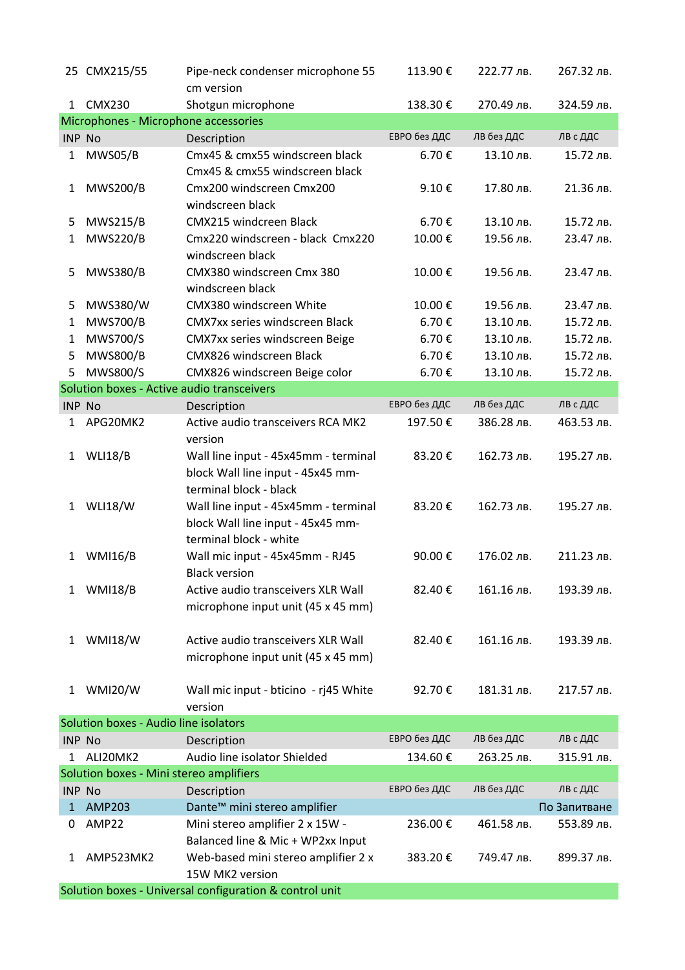|                                                         | 25 CMX215/55                               | Pipe-neck condenser microphone 55            | 113.90€      | 222.77 лв. | 267.32 лв.   |  |
|---------------------------------------------------------|--------------------------------------------|----------------------------------------------|--------------|------------|--------------|--|
|                                                         |                                            | cm version                                   |              |            |              |  |
| 1                                                       | <b>CMX230</b>                              | Shotgun microphone                           | 138.30€      | 270.49 лв. | 324.59 лв.   |  |
|                                                         | Microphones - Microphone accessories       |                                              |              |            |              |  |
| <b>INP No</b>                                           |                                            | Description                                  | ЕВРО без ДДС | ЛВ без ДДС | ЛВ с ДДС     |  |
| 1                                                       | MWS05/B                                    | Cmx45 & cmx55 windscreen black               | 6.70€        | 13.10 лв.  | 15.72 лв.    |  |
|                                                         |                                            | Cmx45 & cmx55 windscreen black               |              |            |              |  |
| 1                                                       | <b>MWS200/B</b>                            | Cmx200 windscreen Cmx200                     | 9.10€        | 17.80 лв.  | 21.36 лв.    |  |
|                                                         |                                            | windscreen black                             |              |            |              |  |
| 5                                                       | <b>MWS215/B</b>                            | <b>CMX215 windcreen Black</b>                | 6.70€        | 13.10 лв.  | 15.72 лв.    |  |
| 1                                                       | <b>MWS220/B</b>                            | Cmx220 windscreen - black Cmx220             | 10.00€       | 19.56 лв.  | 23.47 лв.    |  |
|                                                         |                                            | windscreen black                             |              |            |              |  |
| 5                                                       | <b>MWS380/B</b>                            | CMX380 windscreen Cmx 380                    | 10.00€       | 19.56 лв.  | 23.47 лв.    |  |
|                                                         |                                            | windscreen black                             |              |            |              |  |
| 5                                                       | MWS380/W                                   | CMX380 windscreen White                      | 10.00€       | 19.56 лв.  | 23.47 лв.    |  |
| 1                                                       | <b>MWS700/B</b>                            | <b>CMX7xx series windscreen Black</b>        | 6.70€        | 13.10 лв.  | 15.72 лв.    |  |
| 1                                                       | <b>MWS700/S</b>                            | CMX7xx series windscreen Beige               | 6.70€        | 13.10 лв.  | 15.72 лв.    |  |
| 5                                                       | <b>MWS800/B</b>                            | CMX826 windscreen Black                      | 6.70€        | 13.10 лв.  | 15.72 лв.    |  |
| 5                                                       | MWS800/S                                   | CMX826 windscreen Beige color                | 6.70€        | 13.10 лв.  | 15.72 лв.    |  |
|                                                         | Solution boxes - Active audio transceivers |                                              |              |            |              |  |
| <b>INP No</b>                                           |                                            | Description                                  | ЕВРО без ДДС | ЛВ без ДДС | ЛВ с ДДС     |  |
| 1                                                       | APG20MK2                                   | Active audio transceivers RCA MK2<br>version | 197.50€      | 386.28 лв. | 463.53 лв.   |  |
| 1                                                       | <b>WLI18/B</b>                             | Wall line input - 45x45mm - terminal         | 83.20€       | 162.73 лв. | 195.27 лв.   |  |
|                                                         |                                            | block Wall line input - 45x45 mm-            |              |            |              |  |
|                                                         |                                            | terminal block - black                       |              |            |              |  |
| 1                                                       | <b>WLI18/W</b>                             | Wall line input - 45x45mm - terminal         | 83.20€       | 162.73 лв. | 195.27 лв.   |  |
|                                                         |                                            | block Wall line input - 45x45 mm-            |              |            |              |  |
|                                                         |                                            | terminal block - white                       |              |            |              |  |
| 1                                                       | <b>WMI16/B</b>                             | Wall mic input - 45x45mm - RJ45              | 90.00€       | 176.02 лв. | 211.23 лв.   |  |
|                                                         |                                            | <b>Black version</b>                         |              |            |              |  |
| $\mathbf{1}$                                            | <b>WMI18/B</b>                             | Active audio transceivers XLR Wall           | 82.40€       | 161.16 лв. | 193.39 лв.   |  |
|                                                         |                                            | microphone input unit (45 x 45 mm)           |              |            |              |  |
|                                                         |                                            |                                              |              |            |              |  |
| 1                                                       | <b>WMI18/W</b>                             | Active audio transceivers XLR Wall           | 82.40€       | 161.16 лв. | 193.39 лв.   |  |
|                                                         |                                            | microphone input unit (45 x 45 mm)           |              |            |              |  |
|                                                         |                                            |                                              |              |            |              |  |
| 1                                                       | <b>WMI20/W</b>                             | Wall mic input - bticino - rj45 White        | 92.70€       | 181.31 лв. | 217.57 лв.   |  |
|                                                         |                                            | version                                      |              |            |              |  |
| Solution boxes - Audio line isolators                   |                                            |                                              |              |            |              |  |
| <b>INP No</b>                                           |                                            | Description                                  | ЕВРО без ДДС | ЛВ без ДДС | ЛВ с ДДС     |  |
| 1                                                       | ALI20MK2                                   | Audio line isolator Shielded                 | 134.60€      | 263.25 лв. | 315.91 лв.   |  |
| Solution boxes - Mini stereo amplifiers                 |                                            |                                              |              |            |              |  |
| <b>INP No</b>                                           |                                            | Description                                  | ЕВРО без ДДС | ЛВ без ДДС | ЛВ с ДДС     |  |
| 1                                                       | <b>AMP203</b>                              | Dante <sup>™</sup> mini stereo amplifier     |              |            | По Запитване |  |
| 0                                                       | AMP22                                      | Mini stereo amplifier 2 x 15W -              | 236.00€      | 461.58 лв. | 553.89 лв.   |  |
|                                                         |                                            | Balanced line & Mic + WP2xx Input            |              |            |              |  |
| 1                                                       | AMP523MK2                                  | Web-based mini stereo amplifier 2 x          | 383.20€      | 749.47 лв. | 899.37 лв.   |  |
|                                                         |                                            | 15W MK2 version                              |              |            |              |  |
| Solution boxes - Universal configuration & control unit |                                            |                                              |              |            |              |  |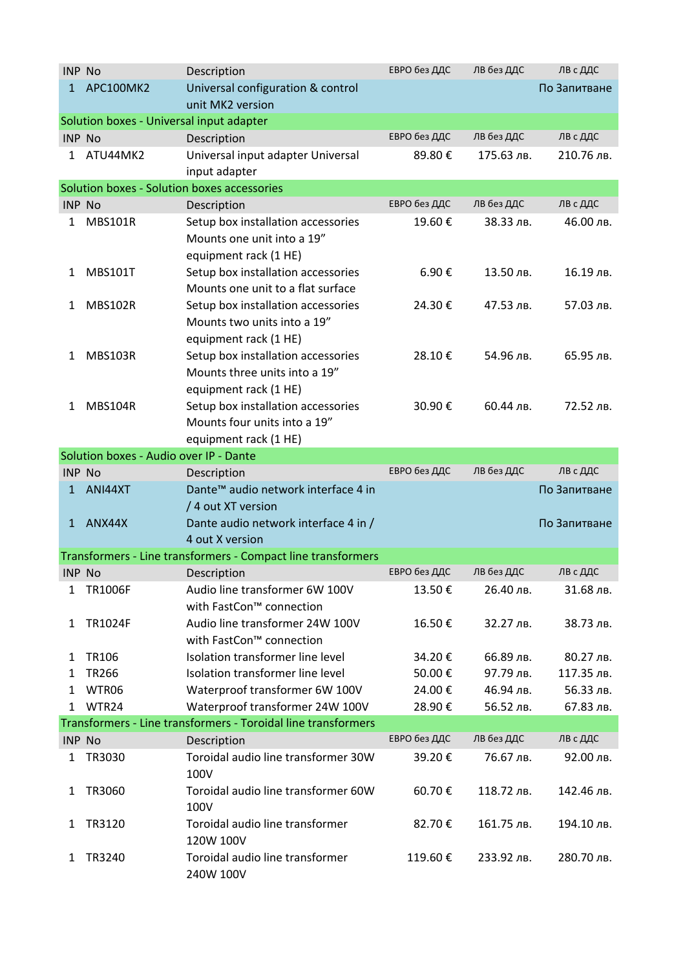| <b>INP No</b> |                                          | Description                                                                                      | ЕВРО без ДДС | ЛВ без ДДС | ЛВ с ДДС     |
|---------------|------------------------------------------|--------------------------------------------------------------------------------------------------|--------------|------------|--------------|
| $\mathbf{1}$  | APC100MK2                                | Universal configuration & control                                                                |              |            | По Запитване |
|               |                                          | unit MK2 version                                                                                 |              |            |              |
|               | Solution boxes - Universal input adapter |                                                                                                  |              |            |              |
| <b>INP No</b> |                                          | Description                                                                                      | ЕВРО без ДДС | ЛВ без ДДС | ЛВ с ДДС     |
| 1             | ATU44MK2                                 | Universal input adapter Universal                                                                | 89.80€       | 175.63 лв. | 210.76 лв.   |
|               |                                          | input adapter                                                                                    |              |            |              |
|               |                                          | Solution boxes - Solution boxes accessories                                                      |              |            |              |
| <b>INP No</b> |                                          | Description                                                                                      | ЕВРО без ДДС | ЛВ без ДДС | ЛВ с ДДС     |
| 1             | <b>MBS101R</b>                           | Setup box installation accessories                                                               | 19.60€       | 38.33 лв.  | 46.00 лв.    |
|               |                                          | Mounts one unit into a 19"                                                                       |              |            |              |
|               |                                          | equipment rack (1 HE)                                                                            |              |            |              |
| 1             | <b>MBS101T</b>                           | Setup box installation accessories                                                               | 6.90€        | 13.50 лв.  | 16.19 лв.    |
|               |                                          | Mounts one unit to a flat surface                                                                |              |            |              |
| 1             | <b>MBS102R</b>                           | Setup box installation accessories                                                               | 24.30€       | 47.53 лв.  | 57.03 лв.    |
|               |                                          | Mounts two units into a 19"                                                                      |              |            |              |
|               |                                          | equipment rack (1 HE)                                                                            |              |            |              |
| 1             | <b>MBS103R</b>                           | Setup box installation accessories                                                               | 28.10€       | 54.96 лв.  | 65.95 лв.    |
|               |                                          | Mounts three units into a 19"                                                                    |              |            |              |
|               |                                          | equipment rack (1 HE)                                                                            |              |            |              |
| 1             | <b>MBS104R</b>                           | Setup box installation accessories                                                               | 30.90€       | 60.44 лв.  | 72.52 лв.    |
|               |                                          | Mounts four units into a 19"                                                                     |              |            |              |
|               |                                          | equipment rack (1 HE)                                                                            |              |            |              |
|               | Solution boxes - Audio over IP - Dante   |                                                                                                  |              |            |              |
| <b>INP No</b> |                                          | Description                                                                                      | ЕВРО без ДДС | лв без ддС | ЛВ с ДДС     |
| 1             | ANI44XT                                  | Dante <sup>™</sup> audio network interface 4 in                                                  |              |            | По Запитване |
|               |                                          | / 4 out XT version                                                                               |              |            |              |
| $\mathbf{1}$  | ANX44X                                   | Dante audio network interface 4 in /                                                             |              |            | По Запитване |
|               |                                          | 4 out X version                                                                                  |              |            |              |
|               |                                          | Transformers - Line transformers - Compact line transformers                                     |              |            |              |
| <b>INP No</b> |                                          | Description                                                                                      | ЕВРО без ДДС | ЛВ без ДДС | ЛВ с ДДС     |
| 1             | <b>TR1006F</b>                           | Audio line transformer 6W 100V                                                                   | 13.50€       | 26.40 лв.  | 31.68 лв.    |
|               |                                          | with FastCon™ connection                                                                         |              |            |              |
| 1             | TR1024F                                  | Audio line transformer 24W 100V                                                                  | 16.50€       | 32.27 лв.  | 38.73 лв.    |
|               |                                          | with FastCon™ connection                                                                         |              |            |              |
| 1             | TR106                                    | Isolation transformer line level<br>Isolation transformer line level                             | 34.20€       | 66.89 лв.  | 80.27 лв.    |
| 1             | <b>TR266</b>                             |                                                                                                  | 50.00€       | 97.79 лв.  | 117.35 лв.   |
| 1             | WTR06<br>WTR24                           | Waterproof transformer 6W 100V                                                                   | 24.00€       | 46.94 лв.  | 56.33 лв.    |
| 1             |                                          | Waterproof transformer 24W 100V<br>Transformers - Line transformers - Toroidal line transformers | 28.90€       | 56.52 лв.  | 67.83 лв.    |
| <b>INP No</b> |                                          |                                                                                                  | ЕВРО без ДДС | ЛВ без ДДС | ЛВ с ДДС     |
| 1             | TR3030                                   | Description<br>Toroidal audio line transformer 30W                                               | 39.20€       | 76.67 лв.  | 92.00 лв.    |
|               |                                          | 100V                                                                                             |              |            |              |
| 1             | TR3060                                   | Toroidal audio line transformer 60W<br>100V                                                      | 60.70€       | 118.72 лв. | 142.46 лв.   |
| 1             | TR3120                                   | Toroidal audio line transformer<br>120W 100V                                                     | 82.70€       | 161.75 лв. | 194.10 лв.   |
| 1             | TR3240                                   | Toroidal audio line transformer<br>240W 100V                                                     | 119.60€      | 233.92 лв. | 280.70 лв.   |